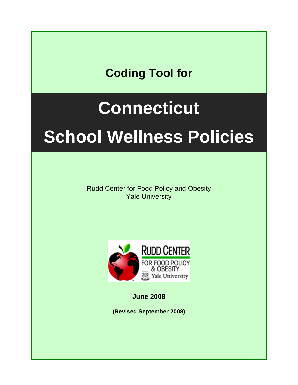## **Coding Tool for**

## **Connecticut**

# **School Wellness Policies**

Rudd Center for Food Policy and Obesity Yale University



**June 2008** 

**(Revised September 2008)**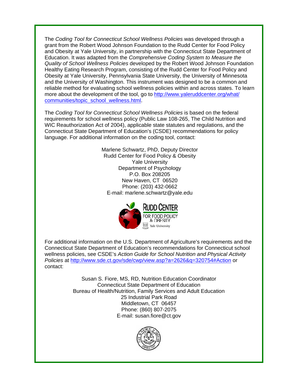The *Coding Tool for Connecticut School Wellness Policies* was developed through a grant from the Robert Wood Johnson Foundation to the Rudd Center for Food Policy and Obesity at Yale University, in partnership with the Connecticut State Department of Education. It was adapted from the *Comprehensive Coding System to Measure the Quality of School Wellness Policies* developed by the Robert Wood Johnson Foundation Healthy Eating Research Program, consisting of the Rudd Center for Food Policy and Obesity at Yale University, Pennsylvania State University, the University of Minnesota and the University of Washington. This instrument was designed to be a common and reliable method for evaluating school wellness policies within and across states. To learn more about the development of the tool, go to [http://www.yaleruddcenter.org/what/](http://www.yaleruddcenter.org/what/%0Bcommunities/topic_school_wellness.html) [communities/topic\\_school\\_wellness.html.](http://www.yaleruddcenter.org/what/%0Bcommunities/topic_school_wellness.html)

The *Coding Tool for Connecticut School Wellness Policies* is based on the federal requirements for school wellness policy (Public Law 108-265, The Child Nutrition and WIC Reauthorization Act of 2004), applicable state statutes and regulations, and the Connecticut State Department of Education's (CSDE) recommendations for policy language. For additional information on the coding tool, contact:

> Marlene Schwartz, PhD, Deputy Director Rudd Center for Food Policy & Obesity Yale University Department of Psychology P.O. Box 208205 New Haven, CT 06520 Phone: (203) 432-0662 E-mail: [marlene.schwartz@yale.edu](mailto:marlene.schwartz@yale.edu)



For additional information on the U.S. Department of Agriculture's requirements and the Connecticut State Department of Education's recommendations for Connecticut school wellness policies, see CSDE's *Action Guide for School Nutrition and Physical Activity Policies* at<http://www.sde.ct.gov/sde/cwp/view.asp?a=2626&q=320754#Action> or contact:

> Susan S. Fiore, MS, RD, Nutrition Education Coordinator Connecticut State Department of Education Bureau of Health/Nutrition, Family Services and Adult Education 25 Industrial Park Road Middletown, CT 06457 Phone: (860) 807-2075 E-mail: [susan.fiore@ct.gov](mailto:susan.fiore@ct.gov)

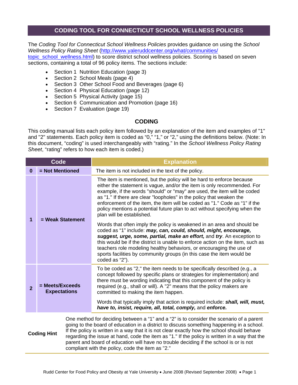#### **CODING TOOL FOR CONNECTICUT SCHOOL WELLNESS POLICIES**

The *Coding Tool for Connecticut School Wellness Policies* provides guidance on using the *School Wellness Policy Rating Sheet* [\(http://www.yaleruddcenter.org/what/communities/](http://www.yaleruddcenter.org/what/communities/%0Btopic_school_wellness.html) topic school wellness.html) to score district school wellness policies. Scoring is based on seven

sections, containing a total of 96 policy items. The sections include:

- Section 1 Nutrition Education (page 3)
- Section 2 School Meals (page 4)
- Section 3 Other School Food and Beverages (page 6)
- Section 4 Physical Education (page 12)
- Section 5 Physical Activity (page 15)
- Section 6 Communication and Promotion (page 16)
- Section 7 Evaluation (page 19)

#### **CODING**

This coding manual lists each policy item followed by an explanation of the item and examples of "1" and "2" statements. Each policy item is coded as "0," "1," or "2," using the definitions below. (Note: In this document, "coding" is used interchangeably with "rating." In the *School Wellness Policy Rating Sheet*, "rating" refers to how each item is coded.)

| <b>Code</b>    |                                        |                                                                                                                                                                                                                                                                                                                                                                                                                                                                                                                                    | <b>Explanation</b>                                                                                                                                                                                                                                                                                                                                                                                                                                                                            |  |  |  |  |
|----------------|----------------------------------------|------------------------------------------------------------------------------------------------------------------------------------------------------------------------------------------------------------------------------------------------------------------------------------------------------------------------------------------------------------------------------------------------------------------------------------------------------------------------------------------------------------------------------------|-----------------------------------------------------------------------------------------------------------------------------------------------------------------------------------------------------------------------------------------------------------------------------------------------------------------------------------------------------------------------------------------------------------------------------------------------------------------------------------------------|--|--|--|--|
| $\bf{0}$       | = Not Mentioned                        |                                                                                                                                                                                                                                                                                                                                                                                                                                                                                                                                    | The item is not included in the text of the policy.                                                                                                                                                                                                                                                                                                                                                                                                                                           |  |  |  |  |
| 1              |                                        |                                                                                                                                                                                                                                                                                                                                                                                                                                                                                                                                    | The item is mentioned, but the policy will be hard to enforce because<br>either the statement is vague, and/or the item is only recommended. For<br>example, if the words "should" or "may" are used, the item will be coded<br>as "1." If there are clear "loopholes" in the policy that weaken the<br>enforcement of the item, the item will be coded as "1." Code as "1" if the<br>policy mentions a potential future plan to act without specifying when the<br>plan will be established. |  |  |  |  |
|                | = Weak Statement                       |                                                                                                                                                                                                                                                                                                                                                                                                                                                                                                                                    | Words that often imply the policy is weakened in an area and should be<br>coded as "1" include: may, can, could, should, might, encourage,<br>suggest, urge, some, partial, make an effort, and try. An exception to<br>this would be if the district is unable to enforce action on the item, such as<br>teachers role modeling healthy behaviors, or encouraging the use of<br>sports facilities by community groups (in this case the item would be<br>coded as "2").                      |  |  |  |  |
| $\overline{2}$ | = Meets/Exceeds<br><b>Expectations</b> |                                                                                                                                                                                                                                                                                                                                                                                                                                                                                                                                    | To be coded as "2," the item needs to be specifically described (e.g., a<br>concept followed by specific plans or strategies for implementation) and<br>there must be wording indicating that this component of the policy is<br>required (e.g., shall or will). A "2" means that the policy makers are<br>committed to making the item happen.                                                                                                                                               |  |  |  |  |
|                |                                        |                                                                                                                                                                                                                                                                                                                                                                                                                                                                                                                                    | Words that typically imply that action is required include: <b>shall, will, must,</b><br>have to, insist, require, all, total, comply, and enforce.                                                                                                                                                                                                                                                                                                                                           |  |  |  |  |
|                | <b>Coding Hint</b>                     | One method for deciding between a "1" and a "2" is to consider the scenario of a parent<br>going to the board of education in a district to discuss something happening in a school.<br>If the policy is written in a way that it is not clear exactly how the school should behave<br>regarding the issue at hand, code the item as "1." If the policy is written in a way that the<br>parent and board of education will have no trouble deciding if the school is or is not<br>compliant with the policy, code the item as "2." |                                                                                                                                                                                                                                                                                                                                                                                                                                                                                               |  |  |  |  |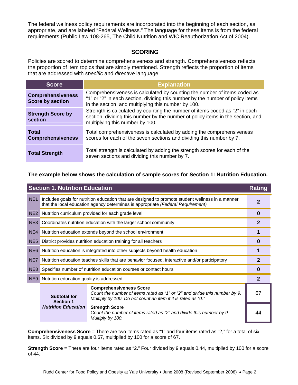The federal wellness policy requirements are incorporated into the beginning of each section, as appropriate, and are labeled "Federal Wellness." The language for these items is from the federal requirements (Public Law 108-265, The Child Nutrition and WIC Reauthorization Act of 2004).

#### **SCORING**

Policies are scored to determine comprehensiveness and strength. Comprehensiveness reflects the proportion of item topics that are simply mentioned. Strength reflects the proportion of items that are addressed with *specific* and *directive* language.

| <b>Score</b>                                        | <b>Explanation</b>                                                                                                                                                                                                |  |  |  |
|-----------------------------------------------------|-------------------------------------------------------------------------------------------------------------------------------------------------------------------------------------------------------------------|--|--|--|
| <b>Comprehensiveness</b><br><b>Score by section</b> | Comprehensiveness is calculated by counting the number of items coded as<br>"1" or "2" in each section, dividing this number by the number of policy items<br>in the section, and multiplying this number by 100. |  |  |  |
| <b>Strength Score by</b><br>section                 | Strength is calculated by counting the number of items coded as "2" in each<br>section, dividing this number by the number of policy items in the section, and<br>multiplying this number by 100.                 |  |  |  |
| <b>Total</b><br><b>Comprehensiveness</b>            | Total comprehensiveness is calculated by adding the comprehensiveness<br>scores for each of the seven sections and dividing this number by 7.                                                                     |  |  |  |
| <b>Total Strength</b>                               | Total strength is calculated by adding the strength scores for each of the<br>seven sections and dividing this number by 7.                                                                                       |  |  |  |

#### **The example below shows the calculation of sample scores for Section 1: Nutrition Education.**

| <b>Section 1. Nutrition Education</b><br><b>Rating</b> |                                                                                                                                                                                     |                                                                                                                                                                              |    |  |  |  |
|--------------------------------------------------------|-------------------------------------------------------------------------------------------------------------------------------------------------------------------------------------|------------------------------------------------------------------------------------------------------------------------------------------------------------------------------|----|--|--|--|
| NE <sub>1</sub>                                        | Includes goals for nutrition education that are designed to promote student wellness in a manner<br>that the local education agency determines is appropriate (Federal Requirement) |                                                                                                                                                                              |    |  |  |  |
| NE <sub>2</sub>                                        | Nutrition curriculum provided for each grade level                                                                                                                                  |                                                                                                                                                                              |    |  |  |  |
| NE3                                                    |                                                                                                                                                                                     | Coordinates nutrition education with the larger school community                                                                                                             | 2  |  |  |  |
| NE4                                                    |                                                                                                                                                                                     | Nutrition education extends beyond the school environment                                                                                                                    |    |  |  |  |
| NE <sub>5</sub>                                        |                                                                                                                                                                                     | District provides nutrition education training for all teachers                                                                                                              |    |  |  |  |
| NE <sub>6</sub>                                        | Nutrition education is integrated into other subjects beyond health education                                                                                                       |                                                                                                                                                                              |    |  |  |  |
| NE7                                                    | Nutrition education teaches skills that are behavior focused, interactive and/or participatory                                                                                      |                                                                                                                                                                              |    |  |  |  |
| NE <sub>8</sub>                                        | Specifies number of nutrition education courses or contact hours                                                                                                                    |                                                                                                                                                                              |    |  |  |  |
| NE9                                                    | Nutrition education quality is addressed                                                                                                                                            |                                                                                                                                                                              |    |  |  |  |
|                                                        | <b>Subtotal for</b><br><b>Section 1</b>                                                                                                                                             | <b>Comprehensiveness Score</b><br>Count the number of items rated as "1" or "2" and divide this number by 9.<br>Multiply by 100. Do not count an item if it is rated as "0." | 67 |  |  |  |
|                                                        | <b>Nutrition Education</b>                                                                                                                                                          | <b>Strength Score</b><br>Count the number of items rated as "2" and divide this number by 9.<br>Multiply by 100.                                                             |    |  |  |  |

**Comprehensiveness Score** = There are two items rated as "1" and four items rated as "2," for a total of six items. Six divided by 9 equals 0.67, multiplied by 100 for a score of 67.

**Strength Score** = There are four items rated as "2." Four divided by 9 equals 0.44, multiplied by 100 for a score of 44.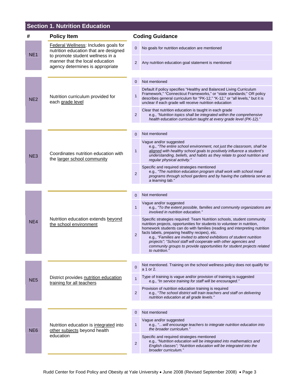## **Section 1. Nutrition Education**

| #               | <b>Policy Item</b>                                                                                                                                                                       |                | <b>Coding Guidance</b>                                                                                                                                                                                                                                                                                                                                                                                                                                                                                                       |  |
|-----------------|------------------------------------------------------------------------------------------------------------------------------------------------------------------------------------------|----------------|------------------------------------------------------------------------------------------------------------------------------------------------------------------------------------------------------------------------------------------------------------------------------------------------------------------------------------------------------------------------------------------------------------------------------------------------------------------------------------------------------------------------------|--|
| NE <sub>1</sub> | Federal Wellness: Includes goals for<br>nutrition education that are designed<br>to promote student wellness in a<br>manner that the local education<br>agency determines is appropriate |                | No goals for nutrition education are mentioned                                                                                                                                                                                                                                                                                                                                                                                                                                                                               |  |
|                 |                                                                                                                                                                                          |                | Any nutrition education goal statement is mentioned                                                                                                                                                                                                                                                                                                                                                                                                                                                                          |  |
|                 |                                                                                                                                                                                          |                |                                                                                                                                                                                                                                                                                                                                                                                                                                                                                                                              |  |
|                 |                                                                                                                                                                                          | 0              | Not mentioned                                                                                                                                                                                                                                                                                                                                                                                                                                                                                                                |  |
| NE <sub>2</sub> | Nutrition curriculum provided for<br>each grade level                                                                                                                                    | 1              | Default if policy specifies "Healthy and Balanced Living Curriculum<br>Framework," "Connecticut Frameworks," or "state standards;" OR policy<br>describes general curriculum for "PK-12," "K-12," or "all levels," but it is<br>unclear if each grade will receive nutrition education                                                                                                                                                                                                                                       |  |
|                 |                                                                                                                                                                                          | 2              | Clear that nutrition education is taught in each grade<br>e.g., "Nutrition topics shall be integrated within the comprehensive<br>health education curriculum taught at every grade level (PK-12)."                                                                                                                                                                                                                                                                                                                          |  |
|                 |                                                                                                                                                                                          |                |                                                                                                                                                                                                                                                                                                                                                                                                                                                                                                                              |  |
|                 |                                                                                                                                                                                          | 0              | Not mentioned                                                                                                                                                                                                                                                                                                                                                                                                                                                                                                                |  |
| NE3             | Coordinates nutrition education with<br>the larger school community                                                                                                                      | 1              | Vague and/or suggested<br>e.g., "The entire school environment, not just the classroom, shall be<br>aligned with healthy school goals to positively influence a student's<br>understanding, beliefs, and habits as they relate to good nutrition and<br>regular physical activity."                                                                                                                                                                                                                                          |  |
|                 |                                                                                                                                                                                          | $\overline{2}$ | Specific and required strategies mentioned<br>e.g., "The nutrition education program shall work with school meal<br>programs through school gardens and by having the cafeteria serve as<br>a learning lab."                                                                                                                                                                                                                                                                                                                 |  |
|                 |                                                                                                                                                                                          |                |                                                                                                                                                                                                                                                                                                                                                                                                                                                                                                                              |  |
|                 | Nutrition education extends beyond<br>the school environment                                                                                                                             | $\Omega$       | Not mentioned                                                                                                                                                                                                                                                                                                                                                                                                                                                                                                                |  |
|                 |                                                                                                                                                                                          | $\mathbf{1}$   | Vague and/or suggested<br>e.g., "To the extent possible, families and community organizations are<br><i>involved in nutrition education.</i> "                                                                                                                                                                                                                                                                                                                                                                               |  |
| NE4             |                                                                                                                                                                                          | $\overline{2}$ | Specific strategies required: Team Nutrition schools, student community<br>nutrition projects, opportunities for students to volunteer in nutrition,<br>homework students can do with families (reading and interpreting nutrition<br>facts labels, preparing healthy recipes), etc.<br>e.g., "Families are invited to attend exhibitions of student nutrition<br>projects"; "School staff will cooperate with other agencies and<br>community groups to provide opportunities for student projects related<br>to nutrition. |  |
|                 |                                                                                                                                                                                          |                |                                                                                                                                                                                                                                                                                                                                                                                                                                                                                                                              |  |
|                 |                                                                                                                                                                                          | 0              | Not mentioned. Training on the school wellness policy does not qualify for<br>a 1 or 2.                                                                                                                                                                                                                                                                                                                                                                                                                                      |  |
| NE <sub>5</sub> | District provides nutrition education<br>training for all teachers                                                                                                                       | $\mathbf{1}$   | Type of training is vague and/or provision of training is suggested<br>e.g., "In service training for staff will be encouraged."                                                                                                                                                                                                                                                                                                                                                                                             |  |
|                 |                                                                                                                                                                                          | 2              | Provision of nutrition education training is required<br>e.g., "The school district will train teachers and staff on delivering<br>nutrition education at all grade levels."                                                                                                                                                                                                                                                                                                                                                 |  |
|                 |                                                                                                                                                                                          |                |                                                                                                                                                                                                                                                                                                                                                                                                                                                                                                                              |  |
|                 |                                                                                                                                                                                          | 0              | Not mentioned                                                                                                                                                                                                                                                                                                                                                                                                                                                                                                                |  |
| NE <sub>6</sub> | Nutrition education is integrated into<br>other subjects beyond health<br>education                                                                                                      | $\mathbf{1}$   | Vague and/or suggested<br>e.g., " will encourage teachers to integrate nutrition education into<br>the broader curriculum."                                                                                                                                                                                                                                                                                                                                                                                                  |  |
|                 |                                                                                                                                                                                          | $\overline{c}$ | Specific and required strategies mentioned<br>e.g., "Nutrition education will be integrated into mathematics and<br>English classes"; "Nutrition education will be integrated into the<br>broader curriculum."                                                                                                                                                                                                                                                                                                               |  |
|                 |                                                                                                                                                                                          |                |                                                                                                                                                                                                                                                                                                                                                                                                                                                                                                                              |  |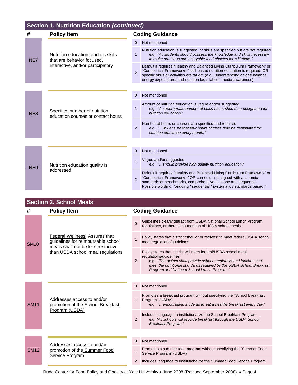## **Section 1. Nutrition Education** *(continued)*

| #               | <b>Policy Item</b>                                                                                    |                | <b>Coding Guidance</b>                                                                                                                                                                                                                                                                                       |
|-----------------|-------------------------------------------------------------------------------------------------------|----------------|--------------------------------------------------------------------------------------------------------------------------------------------------------------------------------------------------------------------------------------------------------------------------------------------------------------|
|                 | Nutrition education teaches skills<br>that are behavior focused,<br>interactive, and/or participatory | $\Omega$       | Not mentioned                                                                                                                                                                                                                                                                                                |
| NE7             |                                                                                                       | $\mathbf{1}$   | Nutrition education is suggested, or skills are specified but are not required<br>e.g., "All students should possess the knowledge and skills necessary<br>to make nutritious and enjoyable food choices for a lifetime."                                                                                    |
|                 |                                                                                                       | $\mathfrak{p}$ | Default if requires "Healthy and Balanced Living Curriculum Framework" or<br>"Connecticut Frameworks;" skill-based nutrition education is required; OR<br>specific skills or activities are taught (e.g., understanding calorie balance,<br>energy expenditure, and nutrition facts labels; media awareness) |
|                 |                                                                                                       |                |                                                                                                                                                                                                                                                                                                              |
|                 | Specifies number of nutrition<br>education courses or contact hours                                   | $\Omega$       | Not mentioned                                                                                                                                                                                                                                                                                                |
| NE <sub>8</sub> |                                                                                                       | $\mathbf{1}$   | Amount of nutrition education is vague and/or suggested<br>e.g., "An appropriate number of class hours should be designated for<br>nutrition education."                                                                                                                                                     |
|                 |                                                                                                       | $\overline{2}$ | Number of hours or courses are specified and required<br>e.g., " will ensure that four hours of class time be designated for<br>nutrition education every month."                                                                                                                                            |
|                 |                                                                                                       |                |                                                                                                                                                                                                                                                                                                              |
|                 | Nutrition education quality is<br>addressed                                                           | $\Omega$       | Not mentioned                                                                                                                                                                                                                                                                                                |
| NE <sub>9</sub> |                                                                                                       | $\mathbf{1}$   | Vague and/or suggested<br>e.g., "should provide high quality nutrition education."                                                                                                                                                                                                                           |
|                 |                                                                                                       | $\mathfrak{p}$ | Default if requires "Healthy and Balanced Living Curriculum Framework" or<br>"Connecticut Frameworks," OR curriculum is aligned with academic<br>standards or benchmarks, comprehensive in scope and sequence.<br>Possible wording: "ongoing / sequential / systematic / standards based."                   |

## **Section 2. School Meals**

| #           | <b>Policy Item</b>                                                                                                                               |                | <b>Coding Guidance</b>                                                                                                                                                                                                                                                                  |  |  |
|-------------|--------------------------------------------------------------------------------------------------------------------------------------------------|----------------|-----------------------------------------------------------------------------------------------------------------------------------------------------------------------------------------------------------------------------------------------------------------------------------------|--|--|
| <b>SM10</b> | Federal Wellness: Assures that<br>guidelines for reimbursable school<br>meals shall not be less restrictive<br>than USDA school meal regulations | $\Omega$       | Guidelines clearly detract from USDA National School Lunch Program<br>regulations, or there is no mention of USDA school meals                                                                                                                                                          |  |  |
|             |                                                                                                                                                  | $\overline{1}$ | Policy states that district "should" or "strives" to meet federal/USDA school<br>meal regulations/guidelines                                                                                                                                                                            |  |  |
|             |                                                                                                                                                  | 2              | Policy states that district will meet federal/USDA school meal<br>regulations/guidelines<br>e.g., "The district shall provide school breakfasts and lunches that<br>meet the nutritional standards required by the USDA School Breakfast<br>Program and National School Lunch Program." |  |  |
|             |                                                                                                                                                  |                |                                                                                                                                                                                                                                                                                         |  |  |
|             | Addresses access to and/or<br>promotion of the School Breakfast<br>Program (USDA)                                                                | $\Omega$       | Not mentioned                                                                                                                                                                                                                                                                           |  |  |
| <b>SM11</b> |                                                                                                                                                  | 1              | Promotes a breakfast program without specifying the "School Breakfast"<br>Program" (USDA)<br>e.g., "encouraging students to eat a healthy breakfast every day."                                                                                                                         |  |  |
|             |                                                                                                                                                  | 2              | Includes language to institutionalize the School Breakfast Program<br>e.g. "All schools will provide breakfast through the USDA School<br><b>Breakfast Program."</b>                                                                                                                    |  |  |
|             |                                                                                                                                                  |                |                                                                                                                                                                                                                                                                                         |  |  |
|             | Addresses access to and/or                                                                                                                       | $\Omega$       | Not mentioned                                                                                                                                                                                                                                                                           |  |  |
| <b>SM12</b> | promotion of the Summer Food<br>Service Program                                                                                                  | 1              | Promotes a summer food program without specifying the "Summer Food<br>Service Program" (USDA)                                                                                                                                                                                           |  |  |
|             |                                                                                                                                                  |                | Includes language to institutionalize the Summer Food Service Program                                                                                                                                                                                                                   |  |  |

Rudd Center for Food Policy and Obesity at Yale University • June 2008 (Revised September 2008) • Page 4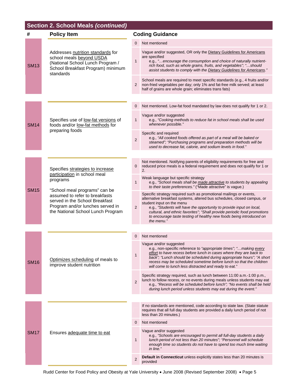## **Section 2. School Meals** *(continued)*

| #           | <b>Policy Item</b>                                                                                                                                                                                                     | <b>Coding Guidance</b> |                                                                                                                                                                                                                                                                                                                                                                                                                     |  |
|-------------|------------------------------------------------------------------------------------------------------------------------------------------------------------------------------------------------------------------------|------------------------|---------------------------------------------------------------------------------------------------------------------------------------------------------------------------------------------------------------------------------------------------------------------------------------------------------------------------------------------------------------------------------------------------------------------|--|
| <b>SM13</b> | Addresses nutrition standards for<br>school meals beyond USDA<br>(National School Lunch Program /<br>School Breakfast Program) minimum<br>standards                                                                    | $\Omega$               | Not mentioned                                                                                                                                                                                                                                                                                                                                                                                                       |  |
|             |                                                                                                                                                                                                                        | $\mathbf{1}$           | Vague and/or suggested, OR only the Dietary Guidelines for Americans<br>are specified<br>e.g., "encourage the consumption and choice of naturally nutrient-<br>rich food, such as whole grains, fruits, and vegetables", "should<br>assist students to comply with the Dietary Guidelines for Americans."                                                                                                           |  |
|             |                                                                                                                                                                                                                        |                        | School meals are required to meet specific standards (e.g., 4 fruits and/or<br>non-fried vegetables per day; only 1% and fat-free milk served; at least<br>half of grains are whole grain; eliminates trans fats)                                                                                                                                                                                                   |  |
|             |                                                                                                                                                                                                                        |                        |                                                                                                                                                                                                                                                                                                                                                                                                                     |  |
|             |                                                                                                                                                                                                                        | 0                      | Not mentioned. Low-fat food mandated by law does not qualify for 1 or 2.                                                                                                                                                                                                                                                                                                                                            |  |
| <b>SM14</b> | Specifies use of low-fat versions of<br>foods and/or low-fat methods for                                                                                                                                               | $\mathbf{1}$           | Vague and/or suggested<br>e.g., "Cooking methods to reduce fat in school meals shall be used<br>whenever possible."                                                                                                                                                                                                                                                                                                 |  |
|             | preparing foods                                                                                                                                                                                                        | $\overline{2}$         | Specific and required<br>e.g., "All cooked foods offered as part of a meal will be baked or<br>steamed"; "Purchasing programs and preparation methods will be<br>used to decrease fat, calorie, and sodium levels in food."                                                                                                                                                                                         |  |
|             |                                                                                                                                                                                                                        |                        |                                                                                                                                                                                                                                                                                                                                                                                                                     |  |
|             | Specifies strategies to increase                                                                                                                                                                                       | $\mathbf{0}$           | Not mentioned. Notifying parents of eligibility requirements for free and<br>reduced price meals is a federal requirement and does not qualify for 1 or<br>2.                                                                                                                                                                                                                                                       |  |
|             | participation in school meal<br>programs<br>"School meal programs" can be<br>assumed to refer to breakfasts<br>served in the School Breakfast<br>Program and/or lunches served in<br>the National School Lunch Program | $\mathbf{1}$           | Weak language but specific strategy<br>e.g., "School meals shall be made attractive to students by appealing<br>to their taste preferences." ("Made attractive" is vague.)                                                                                                                                                                                                                                          |  |
| <b>SM15</b> |                                                                                                                                                                                                                        | 2                      | Specific strategy required such as promotional mailings or events,<br>alternative breakfast systems, altered bus schedules, closed campus, or<br>student input on the menu<br>e.g., "Students will have the opportunity to provide input on local,<br>cultural, and ethnic favorites", "Shall provide periodic food promotions<br>to encourage taste testing of healthy new foods being introduced on<br>the menu." |  |
|             |                                                                                                                                                                                                                        |                        |                                                                                                                                                                                                                                                                                                                                                                                                                     |  |
|             | Optimizes scheduling of meals to<br>improve student nutrition                                                                                                                                                          | 0                      | Not mentioned                                                                                                                                                                                                                                                                                                                                                                                                       |  |
| <b>SM16</b> |                                                                                                                                                                                                                        | $\mathbf{1}$           | Vague and/or suggested<br>e.g., non-specific reference to "appropriate times"; " making every<br>effort to have recess before lunch in cases where they are back to<br>back"; "Lunch should be scheduled during appropriate hours"; "A short<br>recess may be scheduled sometime before lunch so that the children<br>will come to lunch less distracted and ready to eat."                                         |  |
|             |                                                                                                                                                                                                                        | $\overline{2}$         | Specific strategy required, such as lunch between 11:00 a.m.-1:00 p.m.,<br>lunch to follow recess, or no events during meals unless students may eat<br>e.g., "Recess will be scheduled before lunch"; "No events shall be held<br>during lunch period unless students may eat during the event."                                                                                                                   |  |
|             |                                                                                                                                                                                                                        |                        |                                                                                                                                                                                                                                                                                                                                                                                                                     |  |
|             |                                                                                                                                                                                                                        |                        | If no standards are mentioned, code according to state law. (State statute<br>requires that all full day students are provided a daily lunch period of not<br>less than 20 minutes.)                                                                                                                                                                                                                                |  |
| <b>SM17</b> |                                                                                                                                                                                                                        | 0                      | Not mentioned                                                                                                                                                                                                                                                                                                                                                                                                       |  |
|             | Ensures adequate time to eat                                                                                                                                                                                           | $\mathbf{1}$           | Vague and/or suggested<br>e.g., "Schools are encouraged to permit all full-day students a daily<br>lunch period of not less than 20 minutes"; "Personnel will schedule<br>enough time so students do not have to spend too much time waiting<br>in line."                                                                                                                                                           |  |
|             |                                                                                                                                                                                                                        | $\overline{2}$         | Default in Connecticut unless explicitly states less than 20 minutes is<br>provided                                                                                                                                                                                                                                                                                                                                 |  |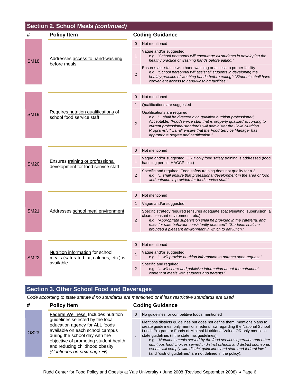| <b>Section 2. School Meals (continued)</b> |                                                                                           |                |                                                                                                                                                                                                                                                                                                                                                         |  |
|--------------------------------------------|-------------------------------------------------------------------------------------------|----------------|---------------------------------------------------------------------------------------------------------------------------------------------------------------------------------------------------------------------------------------------------------------------------------------------------------------------------------------------------------|--|
| #                                          | <b>Policy Item</b>                                                                        |                | <b>Coding Guidance</b>                                                                                                                                                                                                                                                                                                                                  |  |
| <b>SM18</b>                                |                                                                                           | 0              | Not mentioned                                                                                                                                                                                                                                                                                                                                           |  |
|                                            | Addresses access to hand-washing<br>before meals                                          | 1              | Vague and/or suggested<br>e.g., "School personnel will encourage all students in developing the<br>healthy practice of washing hands before eating."                                                                                                                                                                                                    |  |
|                                            |                                                                                           | $\mathbf 2$    | Ensures assistance with hand washing or access to proper facility<br>e.g., "School personnel will assist all students in developing the<br>healthy practice of washing hands before eating"; "Students shall have<br>convenient access to hand-washing facilities."                                                                                     |  |
|                                            |                                                                                           |                |                                                                                                                                                                                                                                                                                                                                                         |  |
|                                            |                                                                                           | $\Omega$       | Not mentioned                                                                                                                                                                                                                                                                                                                                           |  |
|                                            |                                                                                           | 1              | Qualifications are suggested                                                                                                                                                                                                                                                                                                                            |  |
| <b>SM19</b>                                | Requires nutrition qualifications of<br>school food service staff                         | $\overline{2}$ | Qualifications are required<br>e.g., "shall be directed by a qualified nutrition professional";<br>Acceptable: "Foodservice staff that is properly qualified according to<br>current professional standards will administer the Child Nutrition<br>Programs"; "shall ensure that the Food Service Manager has<br>appropriate degree and certification." |  |
|                                            |                                                                                           |                |                                                                                                                                                                                                                                                                                                                                                         |  |
|                                            | Ensures training or professional<br>development for food service staff                    | $\mathbf 0$    | Not mentioned                                                                                                                                                                                                                                                                                                                                           |  |
| <b>SM20</b>                                |                                                                                           | $\mathbf{1}$   | Vague and/or suggested, OR if only food safety training is addressed (food<br>handling permit, HACCP, etc.)                                                                                                                                                                                                                                             |  |
|                                            |                                                                                           | $\overline{2}$ | Specific and required. Food safety training does not qualify for a 2.<br>e.g., "shall ensure that professional development in the area of food<br>and nutrition is provided for food service staff."                                                                                                                                                    |  |
|                                            |                                                                                           |                |                                                                                                                                                                                                                                                                                                                                                         |  |
|                                            | Addresses school meal environment                                                         | $\mathbf 0$    | Not mentioned                                                                                                                                                                                                                                                                                                                                           |  |
|                                            |                                                                                           | $\mathbf 1$    | Vague and/or suggested                                                                                                                                                                                                                                                                                                                                  |  |
| <b>SM21</b>                                |                                                                                           | $\overline{2}$ | Specific strategy required (ensures adequate space/seating; supervision; a<br>clean, pleasant environment; etc.)<br>e.g., "Appropriate supervision shall be provided in the cafeteria, and<br>rules for safe behavior consistently enforced"; "Students shall be<br>provided a pleasant environment in which to eat lunch."                             |  |
|                                            |                                                                                           |                |                                                                                                                                                                                                                                                                                                                                                         |  |
|                                            |                                                                                           | $\mathbf 0$    | Not mentioned                                                                                                                                                                                                                                                                                                                                           |  |
| <b>SM22</b>                                | Nutrition information for school<br>meals (saturated fat, calories, etc.) is<br>available | $\mathbf{1}$   | Vague and/or suggested<br>e.g., " will provide nutrition information to parents upon request."                                                                                                                                                                                                                                                          |  |
|                                            |                                                                                           | $\overline{2}$ | Specific and required<br>e.g., " will share and publicize information about the nutritional<br>content of meals with students and parents."                                                                                                                                                                                                             |  |

### **Section 3. Other School Food and Beverages**

*Code according to state statute if no standards are mentioned or if less restrictive standards are used*

| #           | <b>Policy Item</b>                                                                                                                                                                                                                                            |              | <b>Coding Guidance</b>                                                                                                                                                                                                                                                                                                                                                                                                                                                                                                                                                               |  |  |
|-------------|---------------------------------------------------------------------------------------------------------------------------------------------------------------------------------------------------------------------------------------------------------------|--------------|--------------------------------------------------------------------------------------------------------------------------------------------------------------------------------------------------------------------------------------------------------------------------------------------------------------------------------------------------------------------------------------------------------------------------------------------------------------------------------------------------------------------------------------------------------------------------------------|--|--|
|             | Federal Wellness: Includes nutrition                                                                                                                                                                                                                          | $\mathbf{0}$ | No quidelines for competitive foods mentioned                                                                                                                                                                                                                                                                                                                                                                                                                                                                                                                                        |  |  |
| <b>OS23</b> | guidelines selected by the local<br>education agency for ALL foods<br>available on each school campus<br>during the school day with the<br>objective of promoting student health<br>and reducing childhood obesity<br>(Continues on next page $\rightarrow$ ) |              | Mentions districts quidelines but does not define them; mentions plans to<br>create quidelines; only mentions federal law regarding the National School<br>Lunch Program or Foods of Minimal Nutritional Value; OR only mentions<br>state guidelines (if the state has guidelines).<br>e.g., "Nutritious meals served by the food services operation and other<br>nutritious food choices served in district schools and district sponsored<br>events will comply with district quidelines and state and federal law,"<br>(and "district guidelines" are not defined in the policy). |  |  |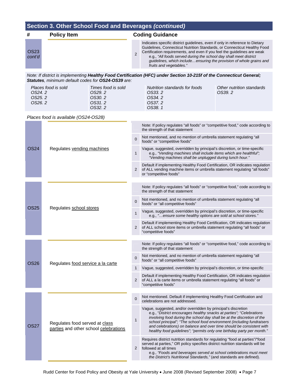| #              | <b>Policy Item</b> |  | <b>Coding Guidance</b>                                                                                                                                                                                                                                                                                                                                                                                      |  |  |
|----------------|--------------------|--|-------------------------------------------------------------------------------------------------------------------------------------------------------------------------------------------------------------------------------------------------------------------------------------------------------------------------------------------------------------------------------------------------------------|--|--|
| OS23<br>cont'd |                    |  | Indicates specific district guidelines, even if only in reference to Dietary<br>Guidelines, Connecticut Nutrition Standards, or Connecticut Healthy Food<br>Certification requirements, and even if you feel the guidelines are weak<br>e.g., "All foods served during the school day shall meet district<br>guidelines, which includeensuring the provision of whole grains and<br>fruits and vegetables." |  |  |

*Note: If district is implementing Healthy Food Certification (HFC) under Section 10-215f of the Connecticut General; Statutes, minimum default codes for OS24-OS39 are:* 

| Places food is sold | Times food is sold | Nutrition standards for foods | Other nutrition standards |
|---------------------|--------------------|-------------------------------|---------------------------|
| OS24.2              | OS29. 2            | OS33. 2                       | OS39. 2                   |
| OS25.2              | OS30. 2            | OS34.2                        |                           |
| OS26.2              | OS31. 2            | OS37.2                        |                           |
|                     | OS32. 2            | OS38. 1                       |                           |

#### *Places food is available (OS24-OS28)*

| Regulates vending machines                                              |                         | Note: If policy regulates "all foods" or "competitive food," code according to<br>the strength of that statement                                                                                                                                                                                                                                                                                                                            |
|-------------------------------------------------------------------------|-------------------------|---------------------------------------------------------------------------------------------------------------------------------------------------------------------------------------------------------------------------------------------------------------------------------------------------------------------------------------------------------------------------------------------------------------------------------------------|
|                                                                         | $\Omega$                | Not mentioned, and no mention of umbrella statement regulating "all<br>foods" or "competitive foods"                                                                                                                                                                                                                                                                                                                                        |
|                                                                         | $\mathbf{1}$            | Vague, suggested, overridden by principal's discretion, or time-specific<br>e.g., "Vending machines shall include items which are healthful";<br>"Vending machines shall be unplugged during lunch hour."                                                                                                                                                                                                                                   |
|                                                                         | 2                       | Default if implementing Healthy Food Certification, OR indicates regulation<br>of ALL vending machine items or umbrella statement regulating "all foods"<br>or "competitive foods"                                                                                                                                                                                                                                                          |
|                                                                         |                         |                                                                                                                                                                                                                                                                                                                                                                                                                                             |
|                                                                         |                         | Note: If policy regulates "all foods" or "competitive food," code according to<br>the strength of that statement                                                                                                                                                                                                                                                                                                                            |
|                                                                         | $\mathbf{0}$            | Not mentioned, and no mention of umbrella statement regulating "all<br>foods" or "all competitive foods"                                                                                                                                                                                                                                                                                                                                    |
|                                                                         | $\mathbf{1}$            | Vague, suggested, overridden by principal's discretion, or time-specific<br>e.g., "ensure some healthy options are sold at school stores."                                                                                                                                                                                                                                                                                                  |
|                                                                         | 2                       | Default if implementing Healthy Food Certification, OR indicates regulation<br>of ALL school store items or umbrella statement regulating "all foods" or<br>"competitive foods"                                                                                                                                                                                                                                                             |
|                                                                         |                         |                                                                                                                                                                                                                                                                                                                                                                                                                                             |
|                                                                         |                         | Note: If policy regulates "all foods" or "competitive food," code according to<br>the strength of that statement                                                                                                                                                                                                                                                                                                                            |
| Regulates food service a la carte                                       | $\Omega$                | Not mentioned, and no mention of umbrella statement regulating "all<br>foods" or "all competitive foods"                                                                                                                                                                                                                                                                                                                                    |
|                                                                         | 1                       | Vague, suggested, overridden by principal's discretion, or time-specific                                                                                                                                                                                                                                                                                                                                                                    |
|                                                                         | 2                       | Default if implementing Healthy Food Certification, OR indicates regulation<br>of ALL a la carte items or umbrella statement regulating "all foods" or<br>"competitive foods"                                                                                                                                                                                                                                                               |
|                                                                         |                         |                                                                                                                                                                                                                                                                                                                                                                                                                                             |
|                                                                         | $\overline{0}$          | Not mentioned. Default if implementing Healthy Food Certification and<br>celebrations are not addressed.                                                                                                                                                                                                                                                                                                                                    |
| Regulates food served at class<br>parties and other school celebrations | $\mathbf{1}$            | Vague, suggested, and/or overridden by principal's discretion<br>e.g., "District encourages healthy snacks at parties"; "Celebrations<br>involving food during the school day shall be at the discretion of the<br>school principal"; "The school food environment (including fundraisers<br>and celebrations) on balance and over time should be consistent with<br>healthy food guidelines"; "permits only one birthday party per month." |
|                                                                         | 2                       | Requires district nutrition standards for regulating "food at parties"/"food<br>served at parties," OR policy specifies district nutrition standards will be<br>followed at all times<br>e.g., "Foods and beverages served at school celebrations must meet<br>the District's Nutritional Standards," (and standards are defined).                                                                                                          |
|                                                                         | Regulates school stores |                                                                                                                                                                                                                                                                                                                                                                                                                                             |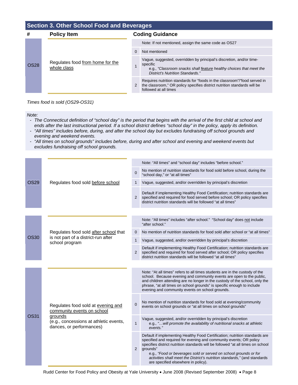#### **Section 3. Other School Food and Beverages**

| #           | <b>Policy Item</b>                              |   | <b>Coding Guidance</b>                                                                                                                                                                      |  |  |
|-------------|-------------------------------------------------|---|---------------------------------------------------------------------------------------------------------------------------------------------------------------------------------------------|--|--|
| <b>OS28</b> | Regulates food from home for the<br>whole class |   | Note: If not mentioned, assign the same code as OS27                                                                                                                                        |  |  |
|             |                                                 | 0 | Not mentioned                                                                                                                                                                               |  |  |
|             |                                                 |   | Vague, suggested, overridden by principal's discretion, and/or time-<br>specific<br>e.g., "Classroom snacks shall feature healthy choices that meet the<br>District's Nutrition Standards." |  |  |
|             |                                                 | 2 | Requires nutrition standards for "foods in the classroom"/"food served in<br>the classroom," OR policy specifies district nutrition standards will be<br>followed at all times              |  |  |

*Times food is sold (OS29-OS31)* 

*Note:* 

- *The Connecticut definition of "school day" is the period that begins with the arrival of the first child at school and ends after the last instructional period. If a school district defines "school day" in the policy, apply its definition.*
- *"All times" includes before, during, and after the school day but excludes fundraising off school grounds and evening and weekend events.*
- *"All times on school grounds" includes before, during and after school and evening and weekend events but excludes fundraising off school grounds.*

|             |                                                                                                                                                   |                | Note: "All times" and "school day" includes "before school."                                                                                                                                                                                                                                                                                                                                                                             |
|-------------|---------------------------------------------------------------------------------------------------------------------------------------------------|----------------|------------------------------------------------------------------------------------------------------------------------------------------------------------------------------------------------------------------------------------------------------------------------------------------------------------------------------------------------------------------------------------------------------------------------------------------|
|             |                                                                                                                                                   | $\mathbf 0$    | No mention of nutrition standards for food sold before school, during the<br>"school day," or "at all times"                                                                                                                                                                                                                                                                                                                             |
| <b>OS29</b> | Regulates food sold before school                                                                                                                 | 1              | Vague, suggested, and/or overridden by principal's discretion                                                                                                                                                                                                                                                                                                                                                                            |
|             |                                                                                                                                                   | 2              | Default if implementing Healthy Food Certification; nutrition standards are<br>specified and required for food served before school; OR policy specifies<br>district nutrition standards will be followed "at all times"                                                                                                                                                                                                                 |
|             |                                                                                                                                                   |                |                                                                                                                                                                                                                                                                                                                                                                                                                                          |
|             |                                                                                                                                                   |                | Note: "All times" includes "after school." "School day" does not include<br>"after school."                                                                                                                                                                                                                                                                                                                                              |
|             | Regulates food sold after school that                                                                                                             | $\mathbf{0}$   | No mention of nutrition standards for food sold after school or "at all times"                                                                                                                                                                                                                                                                                                                                                           |
| <b>OS30</b> | is not part of a district-run after<br>school program                                                                                             | 1              | Vague, suggested, and/or overridden by principal's discretion                                                                                                                                                                                                                                                                                                                                                                            |
|             |                                                                                                                                                   | 2              | Default if implementing Healthy Food Certification; nutrition standards are<br>specified and required for food served after school; OR policy specifies<br>district nutrition standards will be followed "at all times"                                                                                                                                                                                                                  |
|             |                                                                                                                                                   |                |                                                                                                                                                                                                                                                                                                                                                                                                                                          |
| <b>OS31</b> | Regulates food sold at evening and<br>community events on school<br>grounds<br>(e.g., concessions at athletic events,<br>dances, or performances) |                | Note: "At all times" refers to all times students are in the custody of the<br>school. Because evening and community events are open to the public,<br>and children attending are no longer in the custody of the school, only the<br>phrase, "at all times on school grounds" is specific enough to include<br>evening and community events on school grounds.                                                                          |
|             |                                                                                                                                                   | $\mathbf{0}$   | No mention of nutrition standards for food sold at evening/community<br>events on school grounds or "at all times on school grounds"                                                                                                                                                                                                                                                                                                     |
|             |                                                                                                                                                   | $\mathbf{1}$   | Vague, suggested, and/or overridden by principal's discretion<br>e.g., " will promote the availability of nutritional snacks at athletic<br>events."                                                                                                                                                                                                                                                                                     |
|             |                                                                                                                                                   | $\overline{2}$ | Default if implementing Healthy Food Certification; nutrition standards are<br>specified and required for evening and community events; OR policy<br>specifies district nutrition standards will be followed "at all times on school<br>grounds"<br>e.g., "Food or beverages sold or served on school grounds or for<br>activities shall meet the District's nutrition standards," (and standards<br>are specified elsewhere in policy). |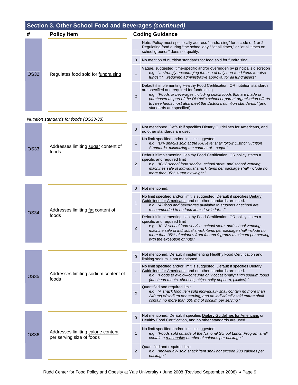| #    | <b>Policy Item</b>                  |                | <b>Coding Guidance</b>                                                                                                                                                                                                                                                                                                                                                            |  |  |
|------|-------------------------------------|----------------|-----------------------------------------------------------------------------------------------------------------------------------------------------------------------------------------------------------------------------------------------------------------------------------------------------------------------------------------------------------------------------------|--|--|
|      | Regulates food sold for fundraising |                | Note: Policy must specifically address "fundraising" for a code of 1 or 2.<br>Regulating food during "the school day," "at all times," or "at all times on<br>school grounds" does not qualify.                                                                                                                                                                                   |  |  |
|      |                                     | $\overline{0}$ | No mention of nutrition standards for food sold for fundraising                                                                                                                                                                                                                                                                                                                   |  |  |
| OS32 |                                     |                | Vague, suggested, time-specific and/or overridden by principal's discretion<br>e.g., "strongly encouraging the use of only non-food items to raise<br>funds"; " requiring administrative approval for all fundraisers".                                                                                                                                                           |  |  |
|      |                                     | 2              | Default if implementing Healthy Food Certification, OR nutrition standards<br>are specified and required for fundraising<br>e.g., "Foods or beverages including snack foods that are made or<br>purchased as part of the District's school or parent organization efforts<br>to raise funds must also meet the District's nutrition standards," (and<br>standards are specified). |  |  |

#### *Nutrition standards for foods (OS33-38)*

| <b>OS33</b> |                                                                 | $\Omega$<br>no other standards are used. | Not mentioned. Default if specifies Dietary Guidelines for Americans, and                                                                                                                                                                                                                                                                               |
|-------------|-----------------------------------------------------------------|------------------------------------------|---------------------------------------------------------------------------------------------------------------------------------------------------------------------------------------------------------------------------------------------------------------------------------------------------------------------------------------------------------|
|             | Addresses limiting sugar content of<br>foods                    | $\mathbf{1}$                             | No limit specified and/or limit is suggested<br>e.g., "Dry snacks sold at the K-8 level shall follow District Nutrition<br>Standards, minimizing the content ofsugar."                                                                                                                                                                                  |
|             |                                                                 | $\overline{2}$                           | Default if implementing Healthy Food Certification, OR policy states a<br>specific and required limit<br>e.g., "K-12 school food service, school store, and school vending<br>machines sale of individual snack items per package shall include no<br>more than 35% sugar by weight."                                                                   |
|             |                                                                 |                                          |                                                                                                                                                                                                                                                                                                                                                         |
|             |                                                                 | $\mathbf 0$                              | Not mentioned.                                                                                                                                                                                                                                                                                                                                          |
| <b>OS34</b> | Addresses limiting fat content of                               | $\mathbf{1}$                             | No limit specified and/or limit is suggested. Default if specifies Dietary<br>Guidelines for Americans, and no other standards are used.<br>e.g., "All food and beverages available to students at school are<br>recommended to be food items low in fat"                                                                                               |
|             | foods                                                           | $\overline{2}$                           | Default if implementing Healthy Food Certification, OR policy states a<br>specific and required limit<br>e.g., "K-12 school food service, school store, and school vending<br>machine sale of individual snack items per package shall include no<br>more than 35% of calories from fat and 9 grams maximum per serving<br>with the exception of nuts." |
|             |                                                                 |                                          |                                                                                                                                                                                                                                                                                                                                                         |
|             | Addresses limiting sodium content of<br>foods                   | $\overline{0}$                           | Not mentioned. Default if implementing Healthy Food Certification and<br>limiting sodium is not mentioned                                                                                                                                                                                                                                               |
| <b>OS35</b> |                                                                 | $\mathbf{1}$                             | No limit specified and/or limit is suggested. Default if specifies Dietary<br>Guidelines for Americans, and no other standards are used.<br>e.g., "Foods to avoid-consume only occasionally: High sodium foods<br>(luncheon meats, cheeses, chips, salty popcorn, pickles)."                                                                            |
|             |                                                                 | $\overline{2}$                           | Quantified and required limit<br>e.g., "A snack food item sold individually shall contain no more than<br>240 mg of sodium per serving, and an individually sold entree shall<br>contain no more than 600 mg of sodium per serving."                                                                                                                    |
|             |                                                                 |                                          |                                                                                                                                                                                                                                                                                                                                                         |
|             |                                                                 | $\overline{0}$                           | Not mentioned. Default if specifies Dietary Guidelines for Americans or<br>Healthy Food Certification, and no other standards are used.                                                                                                                                                                                                                 |
| <b>OS36</b> | Addresses limiting calorie content<br>per serving size of foods | $\mathbf{1}$                             | No limit specified and/or limit is suggested<br>e.g., "Foods sold outside of the National School Lunch Program shall<br>contain a reasonable number of calories per package."                                                                                                                                                                           |
|             |                                                                 | $\overline{2}$                           | Quantified and required limit<br>e.g., "Individually sold snack item shall not exceed 200 calories per<br>package."                                                                                                                                                                                                                                     |
|             |                                                                 |                                          |                                                                                                                                                                                                                                                                                                                                                         |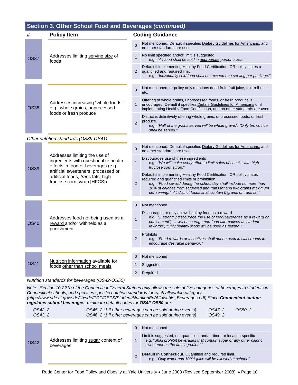| #           | <b>Policy Item</b>                                                                                                                                                                                                       | <b>Coding Guidance</b> |                                                                                                                                                                                                                                                                                                                                              |  |
|-------------|--------------------------------------------------------------------------------------------------------------------------------------------------------------------------------------------------------------------------|------------------------|----------------------------------------------------------------------------------------------------------------------------------------------------------------------------------------------------------------------------------------------------------------------------------------------------------------------------------------------|--|
|             | Addresses limiting serving size of<br>foods                                                                                                                                                                              | $\overline{0}$         | Not mentioned. Default if specifies Dietary Guidelines for Americans, and<br>no other standards are used.                                                                                                                                                                                                                                    |  |
| <b>OS37</b> |                                                                                                                                                                                                                          | $\mathbf{1}$           | No limit specified and/or limit is suggested<br>e.g., "All food shall be sold in appropriate portion sizes."                                                                                                                                                                                                                                 |  |
|             |                                                                                                                                                                                                                          | 2                      | Default if implementing Healthy Food Certification, OR policy states a<br>quantified and required limit<br>e.g., "Individually sold food shall not exceed one serving per package."                                                                                                                                                          |  |
|             |                                                                                                                                                                                                                          |                        | Not mentioned, or policy only mentions dried fruit, fruit juice, fruit roll-ups,                                                                                                                                                                                                                                                             |  |
|             |                                                                                                                                                                                                                          | $\mathbf 0$            | etc.                                                                                                                                                                                                                                                                                                                                         |  |
| <b>OS38</b> | Addresses increasing "whole foods,"<br>e.g., whole grains, unprocessed                                                                                                                                                   | $\mathbf{1}$           | Offering of whole grains, unprocessed foods, or fresh produce is<br>encouraged. Default if specifies Dietary Guidelines for Americans or if<br>implementing Healthy Food Certification, and no other standards are used.                                                                                                                     |  |
|             | foods or fresh produce                                                                                                                                                                                                   | $\overline{2}$         | District is definitively offering whole grains, unprocessed foods, or fresh<br>produce.<br>e.g., "Half of the grains served will be whole grains"; "Only brown rice<br>shall be served."                                                                                                                                                     |  |
|             | Other nutrition standards (OS39-OS41)                                                                                                                                                                                    |                        |                                                                                                                                                                                                                                                                                                                                              |  |
|             | Addresses limiting the use of<br>ingredients with questionable health<br>effects in food or beverages (e.g.,<br>artificial sweeteners, processed or<br>artificial foods, trans fats, high<br>fructose corn syrup [HFCS]) | 0                      | Not mentioned. Default if specifies Dietary Guidelines for Americans, and<br>no other standards are used.                                                                                                                                                                                                                                    |  |
| <b>OS39</b> |                                                                                                                                                                                                                          | $\mathbf{1}$           | Discourages use of these ingredients<br>e.g., "We will make every effort to limit sales of snacks with high<br>fructose corn syrup."                                                                                                                                                                                                         |  |
|             |                                                                                                                                                                                                                          | $\overline{2}$         | Default if implementing Healthy Food Certification, OR policy states<br>required and quantified limits or prohibition<br>e.g., "Food served during the school day shall include no more than<br>10% of calories from saturated and trans fat and two grams maximum<br>per serving;" "All district foods shall contain 0 grams of trans fat." |  |
|             |                                                                                                                                                                                                                          |                        |                                                                                                                                                                                                                                                                                                                                              |  |
|             |                                                                                                                                                                                                                          | 0                      | Not mentioned                                                                                                                                                                                                                                                                                                                                |  |
| <b>OS40</b> | Addresses food not being used as a<br>reward and/or withheld as a<br>punishment                                                                                                                                          | $\mathbf{1}$           | Discourages or only allows healthy food as a reward<br>e.g., "strongly discourage the use of food/beverages as a reward or<br>punishment"; "will encourage non-food alternatives as student<br>rewards"; "Only healthy foods will be used as reward."                                                                                        |  |
|             |                                                                                                                                                                                                                          | $\mathbf{2}$           | Prohibits<br>e.g., "Food rewards or incentives shall not be used in classrooms to<br>encourage desirable behavior."                                                                                                                                                                                                                          |  |
|             |                                                                                                                                                                                                                          |                        | Not mentioned                                                                                                                                                                                                                                                                                                                                |  |
| <b>OS41</b> | Nutrition information available for<br>foods other than school meals                                                                                                                                                     | 0                      |                                                                                                                                                                                                                                                                                                                                              |  |
|             |                                                                                                                                                                                                                          |                        | Suggested                                                                                                                                                                                                                                                                                                                                    |  |
|             |                                                                                                                                                                                                                          | 2                      | Required                                                                                                                                                                                                                                                                                                                                     |  |

*Nutrition standards for beverages (OS42-OS50)*

*Note: Section 10-221q of the Connecticut General Statues only allows the sale of five categories of beverages to students in Connecticut schools, and specifies specific nutrition standards for each allowable category [\(http://www.sde.ct.gov/sde/lib/sde/PDF/DEPS/Student/NutritionEd/Allowable\\_Beverages.pdf](http://www.sde.ct.gov/sde/lib/sde/PDF/DEPS/Student/NutritionEd/Allowable_Beverages.pdf)).Since Connecticut statute* 

*regulates school beverages, minimum default codes for OS42-OS50 are:* 

| OS42.2  | OS45. 2 (1 if other beverages can be sold during events) | OS47.2 | OS50.2 |
|---------|----------------------------------------------------------|--------|--------|
| OS43. 2 | OS46. 2 (1 if other beverages can be sold during events) | OS49.2 |        |

| <b>OS42</b> |                                                  | Not mentioned                                                                                                                                                                          |
|-------------|--------------------------------------------------|----------------------------------------------------------------------------------------------------------------------------------------------------------------------------------------|
|             | Addresses limiting sugar content of<br>beverages | Limit is suggested, not quantified, and/or time- or location-specific<br>e.g. "Shall prohibit beverages that contain sugar or any other caloric<br>sweetener as the first ingredient." |
|             |                                                  | Default in Connecticut. Quantified and required limit.<br>e.g. "Only water and 100% juice will be allowed at school."                                                                  |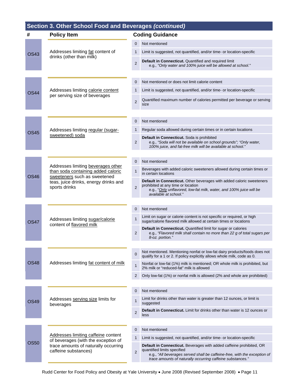## **Section 3. Other School Food and Beverages** *(continued)* **# Policy Item Coding Guidance**  0 Not mentioned 0S43 Addresses limiting fat content of 1 Limit is suggested, not quantified, and/or time- or location-specific drinks (other than milk) **2** Default in Connecticut. Quantified and required limit e.g., *"Only water and 100% juice will be allowed at school."* 0 Not mentioned or does not limit calorie content 0S44 Addresses limiting calorie content 1 Limit is suggested, not quantified, and/or time- or location-specific per serving size of beverages 2 Quantified maximum number of calories permitted per beverage or serving size 0 Not mentioned 0S45 Addresses limiting regular (sugar-<br>
1 Regular soda allowed during certain times or in certain locations sweetened) soda 2 **Default in Connecticut.** Soda is prohibited e.g., *"Soda will not be available on school grounds"; "Only water,*

Addresses limiting beverages other than soda containing added caloric

teas, juice drinks, energy drinks and

content of flavored milk

OS48 | Addresses limiting fat content of milk

Addresses serving size limits for

beverages

OS50

- *100% juice, and fat-free milk will be available at school."*
- 0 Not mentioned 1 Beverages with added caloric sweeteners allowed during certain times or<br>in certain locations nimit sould containing added calong<br>OS46 Sweeteners such as sweetened

#### sports drinks 2 **Default in Connecticut.** Other beverages with added caloric sweeteners prohibited at any time or location e.g., "*Only unflavored, low-fat milk, water, and 100% juice will be*

- *available at school."*
- 0 Not mentioned 1 Limit on sugar or calorie content is not specific or required, or high OS47 Addresses limiting sugar/calorie flavored milk allowed at certain times or locations CS47
	- 2 **Default in Connecticut.** Quantified limit for sugar or calories e.g., *"Flavored milk shall contain no more than 22 g of total sugars per 8-oz. portion."*
	- $\frac{1}{2}$  Not mentioned. Mentioning nonfat or low-fat dairy products/foods does not qualify for a 1 or 2. If policy explicitly allows whole milk, code as 0.
	- 1 Nonfat or low-fat (1%) milk is mentioned; OR whole milk is prohibited, but 2% milk or "reduced-fat" milk is allowed
	- 2 Only low-fat (1%) or nonfat milk is allowed (2% and whole are prohibited)
- 0 Not mentioned  $1$  Addresses serving size limits for  $\frac{1}{1}$  Limit for drinks other than water is greater than 12 ounces, or limit is suggested **2 Default in Connecticut.** Limit for drinks other than water is 12 ounces or less

|                                                                            |   | Not mentioned                                                                                                                                                                                                                                  |
|----------------------------------------------------------------------------|---|------------------------------------------------------------------------------------------------------------------------------------------------------------------------------------------------------------------------------------------------|
| Addresses limiting caffeine content<br>of beverages (with the exception of |   | Limit is suggested, not quantified, and/or time- or location-specific                                                                                                                                                                          |
| trace amounts of naturally occurring<br>caffeine substances)               | C | Default in Connecticut. Beverages with added caffeine prohibited, OR<br>quantified limits specified<br>e.g., "All beverages served shall be caffeine-free, with the exception of<br>trace amounts of naturally occurring caffeine substances." |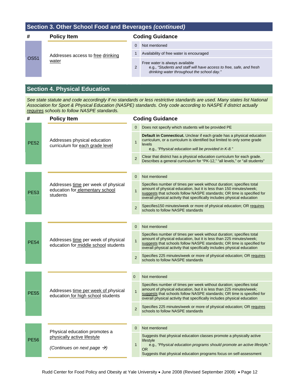| #           | <b>Policy Item</b>                | <b>Coding Guidance</b> |                                                                                                                                                     |
|-------------|-----------------------------------|------------------------|-----------------------------------------------------------------------------------------------------------------------------------------------------|
|             |                                   |                        | Not mentioned                                                                                                                                       |
|             | Addresses access to free drinking |                        | Availability of free water is encouraged                                                                                                            |
| <b>OS51</b> | water                             | 2                      | Free water is always available<br>e.g., "Students and staff will have access to free, safe, and fresh<br>drinking water throughout the school day." |

### **Section 4. Physical Education**

*See state statute and code accordingly if no standards or less restrictive standards are used. Many states list National Association for Sport & Physical Education (NASPE) standards. Only code according to NASPE if district actually requires schools to follow NASPE standards.*

| #           | <b>Policy Item</b>                                                                 | <b>Coding Guidance</b> |                                                                                                                                                                                                                                                                                                  |  |
|-------------|------------------------------------------------------------------------------------|------------------------|--------------------------------------------------------------------------------------------------------------------------------------------------------------------------------------------------------------------------------------------------------------------------------------------------|--|
|             | Addresses physical education<br>curriculum for each grade level                    | $\mathbf{0}$           | Does not specify which students will be provided PE                                                                                                                                                                                                                                              |  |
| <b>PE52</b> |                                                                                    | $\mathbf{1}$           | <b>Default in Connecticut.</b> Unclear if each grade has a physical education<br>curriculum, or a curriculum is identified but limited to only some grade<br>levels<br>e.g., "Physical education will be provided in K-8."                                                                       |  |
|             |                                                                                    | $\overline{2}$         | Clear that district has a physical education curriculum for each grade.<br>Describes a general curriculum for "PK-12," "all levels," or "all students"                                                                                                                                           |  |
|             |                                                                                    |                        |                                                                                                                                                                                                                                                                                                  |  |
|             |                                                                                    | $\Omega$               | Not mentioned                                                                                                                                                                                                                                                                                    |  |
| <b>PE53</b> | Addresses time per week of physical<br>education for elementary school<br>students | $\mathbf{1}$           | Specifies number of times per week without duration; specifies total<br>amount of physical education, but it is less than 150 minutes/week;<br>suggests that schools follow NASPE standards; OR time is specified for<br>overall physical activity that specifically includes physical education |  |
|             |                                                                                    | $\overline{2}$         | Specifies150 minutes/week or more of physical education; OR requires<br>schools to follow NASPE standards                                                                                                                                                                                        |  |
|             |                                                                                    |                        |                                                                                                                                                                                                                                                                                                  |  |
|             | Addresses time per week of physical<br>education for middle school students        | $\mathbf{0}$           | Not mentioned                                                                                                                                                                                                                                                                                    |  |
| PE54        |                                                                                    | $\mathbf{1}$           | Specifies number of times per week without duration; specifies total<br>amount of physical education, but it is less than 225 minutes/week;<br>suggests that schools follow NASPE standards; OR time is specified for<br>overall physical activity that specifically includes physical education |  |
|             |                                                                                    | $\overline{2}$         | Specifies 225 minutes/week or more of physical education; OR requires<br>schools to follow NASPE standards                                                                                                                                                                                       |  |
|             |                                                                                    |                        |                                                                                                                                                                                                                                                                                                  |  |
|             | Addresses time per week of physical<br>education for high school students          | $\overline{0}$         | Not mentioned                                                                                                                                                                                                                                                                                    |  |
| <b>PE55</b> |                                                                                    | $\mathbf{1}$           | Specifies number of times per week without duration; specifies total<br>amount of physical education, but it is less than 225 minutes/week;<br>suggests that schools follow NASPE standards; OR time is specified for<br>overall physical activity that specifically includes physical education |  |
|             |                                                                                    | $\overline{2}$         | Specifies 225 minutes/week or more of physical education; OR requires<br>schools to follow NASPE standards                                                                                                                                                                                       |  |
|             |                                                                                    |                        |                                                                                                                                                                                                                                                                                                  |  |
|             | Physical education promotes a                                                      | $\mathbf{0}$           | Not mentioned                                                                                                                                                                                                                                                                                    |  |
| <b>PE56</b> | physically active lifestyle<br>(Continues on next page $\rightarrow$ )             | $\mathbf{1}$           | Suggests that physical education classes promote a physically active<br>lifestyle<br>e.g., "Physical education programs should promote an active lifestyle."<br>OR.<br>Suggests that physical education programs focus on self-assessment                                                        |  |
|             |                                                                                    |                        |                                                                                                                                                                                                                                                                                                  |  |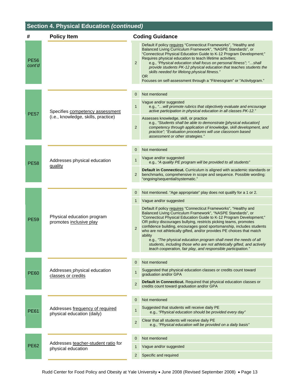## **Section 4. Physical Education** *(continued)*

| #                     | <b>Policy Item</b>                                        | <b>Coding Guidance</b> |                                                                                                                                                                                                                                                                                                                                                                                                                                                                                                                                                                                                                                                              |  |
|-----------------------|-----------------------------------------------------------|------------------------|--------------------------------------------------------------------------------------------------------------------------------------------------------------------------------------------------------------------------------------------------------------------------------------------------------------------------------------------------------------------------------------------------------------------------------------------------------------------------------------------------------------------------------------------------------------------------------------------------------------------------------------------------------------|--|
| <b>PE56</b><br>cont'd |                                                           | $\overline{2}$         | Default if policy requires "Connecticut Frameworks", "Healthy and<br>Balanced Living Curriculum Framework", "NASPE Standards", or<br>"Connecticut Physical Education Guide to K-12 Program Development;"<br>Requires physical education to teach lifetime activities;<br>e.g., "Physical education shall focus on personal fitness"; "shall<br>provide students PK-12 physical education that teaches students the<br>skills needed for lifelong physical fitness."<br><b>OR</b><br>Focuses on self-assessment through a "Fitnessgram" or "Activitygram."                                                                                                    |  |
|                       |                                                           | $\mathbf 0$            | Not mentioned                                                                                                                                                                                                                                                                                                                                                                                                                                                                                                                                                                                                                                                |  |
| <b>PE57</b>           | Specifies competency assessment                           | $\mathbf{1}$           | Vague and/or suggested<br>e.g., " will promote rubrics that objectively evaluate and encourage<br>active participation in physical education in all classes PK-12."                                                                                                                                                                                                                                                                                                                                                                                                                                                                                          |  |
|                       | (i.e., knowledge, skills, practice)                       | $\overline{2}$         | Assesses knowledge, skill, or practice<br>e.g., "Students shall be able to demonstrate [physical education]<br>competency through application of knowledge, skill development, and<br>practice"; "Evaluation procedures will use classroom based<br>assessment or other strategies."                                                                                                                                                                                                                                                                                                                                                                         |  |
|                       |                                                           |                        |                                                                                                                                                                                                                                                                                                                                                                                                                                                                                                                                                                                                                                                              |  |
|                       |                                                           | 0                      | Not mentioned                                                                                                                                                                                                                                                                                                                                                                                                                                                                                                                                                                                                                                                |  |
| <b>PE58</b>           | Addresses physical education<br>quality                   | $\mathbf{1}$           | Vague and/or suggested<br>e.g., "A quality PE program will be provided to all students"                                                                                                                                                                                                                                                                                                                                                                                                                                                                                                                                                                      |  |
|                       |                                                           | 2                      | <b>Default in Connecticut.</b> Curriculum is aligned with academic standards or<br>benchmarks, comprehensive in scope and sequence. Possible wording:<br>"ongoing/sequential/systematic."                                                                                                                                                                                                                                                                                                                                                                                                                                                                    |  |
|                       |                                                           | 0                      | Not mentioned. "Age appropriate" play does not qualify for a 1 or 2.                                                                                                                                                                                                                                                                                                                                                                                                                                                                                                                                                                                         |  |
|                       | Physical education program<br>promotes inclusive play     | $\mathbf{1}$           | Vague and/or suggested                                                                                                                                                                                                                                                                                                                                                                                                                                                                                                                                                                                                                                       |  |
| <b>PE59</b>           |                                                           | $\overline{2}$         | Default if policy requires "Connecticut Frameworks", "Healthy and<br>Balanced Living Curriculum Framework", "NASPE Standards", or<br>"Connecticut Physical Education Guide to K-12 Program Development;"<br>OR policy discourages bullying, restricts picking teams, promotes<br>confidence building, encourages good sportsmanship, includes students<br>who are not athletically gifted, and/or provides PE choices that match<br>ability<br>e.g., "The physical education program shall meet the needs of all<br>students, including those who are not athletically gifted, and actively<br>teach cooperation, fair play, and responsible participation." |  |
|                       |                                                           |                        |                                                                                                                                                                                                                                                                                                                                                                                                                                                                                                                                                                                                                                                              |  |
|                       |                                                           | $\mathbf 0$            | Not mentioned                                                                                                                                                                                                                                                                                                                                                                                                                                                                                                                                                                                                                                                |  |
| <b>PE60</b>           | Addresses physical education<br>classes or credits        | $\mathbf{1}$           | Suggested that physical education classes or credits count toward<br>graduation and/or GPA                                                                                                                                                                                                                                                                                                                                                                                                                                                                                                                                                                   |  |
|                       |                                                           | $\overline{2}$         | Default in Connecticut. Required that physical education classes or<br>credits count toward graduation and/or GPA                                                                                                                                                                                                                                                                                                                                                                                                                                                                                                                                            |  |
|                       |                                                           | 0                      | Not mentioned                                                                                                                                                                                                                                                                                                                                                                                                                                                                                                                                                                                                                                                |  |
| <b>PE61</b>           | Addresses frequency of required                           | $\mathbf{1}$           | Suggested that students will receive daily PE                                                                                                                                                                                                                                                                                                                                                                                                                                                                                                                                                                                                                |  |
|                       | physical education (daily)                                | $\overline{2}$         | e.g., "Physical education should be provided every day"<br>Clear that all students will receive daily PE<br>e.g., "Physical education will be provided on a daily basis"                                                                                                                                                                                                                                                                                                                                                                                                                                                                                     |  |
|                       |                                                           |                        |                                                                                                                                                                                                                                                                                                                                                                                                                                                                                                                                                                                                                                                              |  |
|                       | Addresses teacher-student ratio for<br>physical education | $\mathbf 0$            | Not mentioned                                                                                                                                                                                                                                                                                                                                                                                                                                                                                                                                                                                                                                                |  |
| <b>PE62</b>           |                                                           | $\mathbf 1$            | Vague and/or suggested                                                                                                                                                                                                                                                                                                                                                                                                                                                                                                                                                                                                                                       |  |
|                       |                                                           | 2                      | Specific and required                                                                                                                                                                                                                                                                                                                                                                                                                                                                                                                                                                                                                                        |  |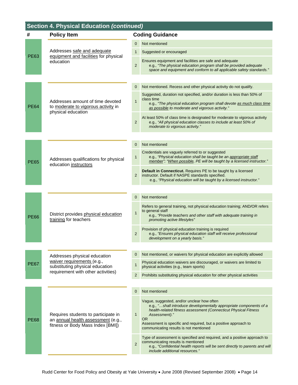## **Section 4. Physical Education** *(continued)*

| #           | <b>Policy Item</b>                                                                                             | <b>Coding Guidance</b> |                                                                                                                                                                                                                                                                                                                                |  |
|-------------|----------------------------------------------------------------------------------------------------------------|------------------------|--------------------------------------------------------------------------------------------------------------------------------------------------------------------------------------------------------------------------------------------------------------------------------------------------------------------------------|--|
|             | Addresses safe and adequate<br>equipment and facilities for physical<br>education                              | $\mathbf{0}$           | Not mentioned                                                                                                                                                                                                                                                                                                                  |  |
|             |                                                                                                                | 1                      | Suggested or encouraged                                                                                                                                                                                                                                                                                                        |  |
| PE63        |                                                                                                                | $\overline{2}$         | Ensures equipment and facilities are safe and adequate<br>e.g., "The physical education program shall be provided adequate<br>space and equipment and conform to all applicable safety standards."                                                                                                                             |  |
|             |                                                                                                                |                        |                                                                                                                                                                                                                                                                                                                                |  |
|             |                                                                                                                | 0                      | Not mentioned. Recess and other physical activity do not qualify.                                                                                                                                                                                                                                                              |  |
| <b>PE64</b> | Addresses amount of time devoted<br>to moderate to vigorous activity in<br>physical education                  | $\mathbf{1}$           | Suggested, duration not specified, and/or duration is less than 50% of<br>class time<br>e.g., "The physical education program shall devote as much class time<br>as possible to moderate and vigorous activity."                                                                                                               |  |
|             |                                                                                                                | $\overline{2}$         | At least 50% of class time is designated for moderate to vigorous activity<br>e.g., "All physical education classes to include at least 50% of<br>moderate to vigorous activity."                                                                                                                                              |  |
|             |                                                                                                                |                        |                                                                                                                                                                                                                                                                                                                                |  |
|             |                                                                                                                | 0                      | Not mentioned                                                                                                                                                                                                                                                                                                                  |  |
| <b>PE65</b> | Addresses qualifications for physical<br>education instructors                                                 | $\mathbf{1}$           | Credentials are vaguely referred to or suggested<br>e.g., "Physical education shall be taught be an appropriate staff<br>member"; "When possible, PE will be taught by a licensed instructor."                                                                                                                                 |  |
|             |                                                                                                                | $\overline{2}$         | <b>Default in Connecticut.</b> Requires PE to be taught by a licensed<br>instructor. Default if NASPE standards specified.<br>e.g., "Physical education will be taught by a licensed instructor."                                                                                                                              |  |
|             |                                                                                                                |                        |                                                                                                                                                                                                                                                                                                                                |  |
|             |                                                                                                                | 0                      | Not mentioned                                                                                                                                                                                                                                                                                                                  |  |
| PE66        | District provides physical education<br>training for teachers                                                  | $\mathbf{1}$           | Refers to general training, not physical education training; AND/OR refers<br>to general staff<br>e.g., "Provide teachers and other staff with adequate training in<br>promoting active lifestyles"                                                                                                                            |  |
|             |                                                                                                                | $\overline{c}$         | Provision of physical education training is required<br>e.g., "Ensures physical education staff will receive professional<br>development on a yearly basis."                                                                                                                                                                   |  |
|             |                                                                                                                |                        |                                                                                                                                                                                                                                                                                                                                |  |
|             | Addresses physical education                                                                                   | 0                      | Not mentioned, or waivers for physical education are explicitly allowed                                                                                                                                                                                                                                                        |  |
| PE67        | waiver requirements (e.g.,<br>substituting physical education                                                  | $\mathbf{1}$           | Physical education waivers are discouraged, or waivers are limited to<br>physical activities (e.g., team sports)                                                                                                                                                                                                               |  |
|             | requirement with other activities)                                                                             | 2                      | Prohibits substituting physical education for other physical activities                                                                                                                                                                                                                                                        |  |
|             |                                                                                                                |                        |                                                                                                                                                                                                                                                                                                                                |  |
|             |                                                                                                                | 0                      | Not mentioned                                                                                                                                                                                                                                                                                                                  |  |
| <b>PE68</b> | Requires students to participate in<br>an annual health assessment (e.g.,<br>fitness or Body Mass Index [BMI]) | $\mathbf{1}$           | Vague, suggested, and/or unclear how often<br>e.g., "shall introduce developmentally appropriate components of a<br>health-related fitness assessment (Connecticut Physical Fitness<br>Assessment)."<br><b>OR</b><br>Assessment is specific and required, but a positive approach to<br>communicating results is not mentioned |  |
|             |                                                                                                                | $\overline{2}$         | Type of assessment is specified and required, and a positive approach to<br>communicating results is mentioned<br>e.g., "Confidential health reports will be sent directly to parents and will<br>include additional resources."                                                                                               |  |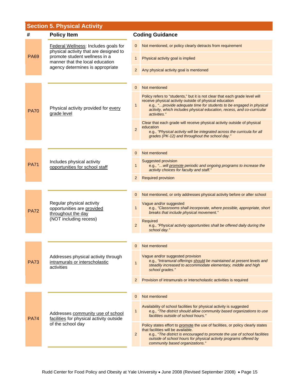## **Section 5. Physical Activity**

| #                                                                                                                                                                                                     | <b>Policy Item</b>                                                                                      | <b>Coding Guidance</b>                  |                                                                                                                                                                                                                                                                                                            |
|-------------------------------------------------------------------------------------------------------------------------------------------------------------------------------------------------------|---------------------------------------------------------------------------------------------------------|-----------------------------------------|------------------------------------------------------------------------------------------------------------------------------------------------------------------------------------------------------------------------------------------------------------------------------------------------------------|
| Federal Wellness: Includes goals for<br>physical activity that are designed to<br>promote student wellness in a<br><b>PA69</b><br>manner that the local education<br>agency determines is appropriate |                                                                                                         | 0                                       | Not mentioned, or policy clearly detracts from requirement                                                                                                                                                                                                                                                 |
|                                                                                                                                                                                                       |                                                                                                         | 1                                       | Physical activity goal is implied                                                                                                                                                                                                                                                                          |
|                                                                                                                                                                                                       | 2                                                                                                       | Any physical activity goal is mentioned |                                                                                                                                                                                                                                                                                                            |
|                                                                                                                                                                                                       |                                                                                                         |                                         |                                                                                                                                                                                                                                                                                                            |
|                                                                                                                                                                                                       | Physical activity provided for every<br>grade level                                                     | 0                                       | Not mentioned                                                                                                                                                                                                                                                                                              |
| <b>PA70</b>                                                                                                                                                                                           |                                                                                                         | 1                                       | Policy refers to "students," but it is not clear that each grade level will<br>receive physical activity outside of physical education<br>e.g., " provide adequate time for students to be engaged in physical<br>activity, which includes physical education, recess, and co-curricular<br>activities."   |
|                                                                                                                                                                                                       |                                                                                                         | $\overline{2}$                          | Clear that each grade will receive physical activity outside of physical<br>education<br>e.g., "Physical activity will be integrated across the curricula for all                                                                                                                                          |
|                                                                                                                                                                                                       |                                                                                                         |                                         | grades (PK-12) and throughout the school day."                                                                                                                                                                                                                                                             |
|                                                                                                                                                                                                       |                                                                                                         |                                         | Not mentioned                                                                                                                                                                                                                                                                                              |
|                                                                                                                                                                                                       |                                                                                                         | 0                                       |                                                                                                                                                                                                                                                                                                            |
| <b>PA71</b>                                                                                                                                                                                           | Includes physical activity<br>opportunities for school staff                                            | 1                                       | Suggested provision<br>e.g., " will promote periodic and ongoing programs to increase the<br>activity choices for faculty and staff."                                                                                                                                                                      |
|                                                                                                                                                                                                       |                                                                                                         | 2                                       | <b>Required provision</b>                                                                                                                                                                                                                                                                                  |
|                                                                                                                                                                                                       |                                                                                                         |                                         |                                                                                                                                                                                                                                                                                                            |
|                                                                                                                                                                                                       | Regular physical activity<br>opportunities are provided<br>throughout the day<br>(NOT including recess) | 0                                       | Not mentioned, or only addresses physical activity before or after school                                                                                                                                                                                                                                  |
| <b>PA72</b>                                                                                                                                                                                           |                                                                                                         | $\mathbf{1}$                            | Vague and/or suggested<br>e.g., "Classrooms shall incorporate, where possible, appropriate, short<br>breaks that include physical movement."                                                                                                                                                               |
|                                                                                                                                                                                                       |                                                                                                         | $\overline{2}$                          | Required<br>e.g., "Physical activity opportunities shall be offered daily during the<br>school day."                                                                                                                                                                                                       |
|                                                                                                                                                                                                       |                                                                                                         |                                         |                                                                                                                                                                                                                                                                                                            |
|                                                                                                                                                                                                       | Addresses physical activity through<br>intramurals or interscholastic<br>activities                     | 0                                       | Not mentioned                                                                                                                                                                                                                                                                                              |
| <b>PA73</b>                                                                                                                                                                                           |                                                                                                         | $\mathbf{1}$                            | Vague and/or suggested provision<br>e.g., "Intramural offerings should be maintained at present levels and<br>steadily increased to accommodate elementary, middle and high<br>school grades."                                                                                                             |
|                                                                                                                                                                                                       |                                                                                                         | 2                                       | Provision of intramurals or interscholastic activities is required                                                                                                                                                                                                                                         |
|                                                                                                                                                                                                       |                                                                                                         |                                         |                                                                                                                                                                                                                                                                                                            |
| <b>PA74</b>                                                                                                                                                                                           | Addresses community use of school<br>facilities for physical activity outside<br>of the school day      | 0                                       | Not mentioned                                                                                                                                                                                                                                                                                              |
|                                                                                                                                                                                                       |                                                                                                         | $\mathbf{1}$                            | Availability of school facilities for physical activity is suggested<br>e.g., "The district should allow community based organizations to use<br>facilities outside of school hours."                                                                                                                      |
|                                                                                                                                                                                                       |                                                                                                         | $\overline{2}$                          | Policy states effort to promote the use of facilities, or policy clearly states<br>that facilities will be available.<br>e.g., "The district is encouraged to promote the use of school facilities<br>outside of school hours for physical activity programs offered by<br>community based organizations." |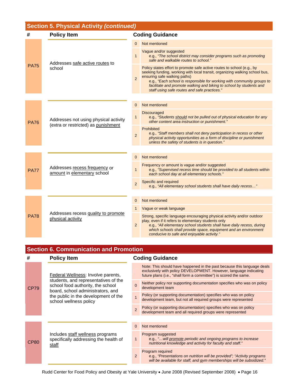| <b>Section 5. Physical Activity (continued)</b> |                                                                              |                |                                                                                                                                                                                                                                                                                                                                                                                        |  |
|-------------------------------------------------|------------------------------------------------------------------------------|----------------|----------------------------------------------------------------------------------------------------------------------------------------------------------------------------------------------------------------------------------------------------------------------------------------------------------------------------------------------------------------------------------------|--|
| #                                               | <b>Policy Item</b>                                                           |                | <b>Coding Guidance</b>                                                                                                                                                                                                                                                                                                                                                                 |  |
| <b>PA75</b>                                     | Addresses safe active routes to<br>school                                    | $\Omega$       | Not mentioned                                                                                                                                                                                                                                                                                                                                                                          |  |
|                                                 |                                                                              | $\mathbf{1}$   | Vague and/or suggested<br>e.g., "The school district may consider programs such as promoting<br>safe and walkable routes to school."                                                                                                                                                                                                                                                   |  |
|                                                 |                                                                              | $\overline{2}$ | Policy states effort to promote safe active routes to school (e.g., by<br>seeking funding, working with local transit, organizing walking school bus,<br>ensuring safe walking paths)<br>e.g., "Each school is responsible for working with community groups to<br>facilitate and promote walking and biking to school by students and<br>staff using safe routes and safe practices." |  |
|                                                 |                                                                              |                |                                                                                                                                                                                                                                                                                                                                                                                        |  |
|                                                 | Addresses not using physical activity<br>(extra or restricted) as punishment | 0              | Not mentioned                                                                                                                                                                                                                                                                                                                                                                          |  |
| <b>PA76</b>                                     |                                                                              | $\mathbf{1}$   | <b>Discouraged</b><br>e.g., "Students should not be pulled out of physical education for any<br>other content area instruction or punishment."                                                                                                                                                                                                                                         |  |
|                                                 |                                                                              | $\overline{2}$ | Prohibited<br>e.g., "Staff members shall not deny participation in recess or other<br>physical activity opportunities as a form of discipline or punishment<br>unless the safety of students is in question."                                                                                                                                                                          |  |
|                                                 |                                                                              |                |                                                                                                                                                                                                                                                                                                                                                                                        |  |
|                                                 | Addresses recess frequency or<br>amount in elementary school                 | 0              | Not mentioned                                                                                                                                                                                                                                                                                                                                                                          |  |
| <b>PA77</b>                                     |                                                                              | $\mathbf{1}$   | Frequency or amount is vague and/or suggested<br>e.g., "Supervised recess time should be provided to all students within<br>each school day at all elementary schools."                                                                                                                                                                                                                |  |
|                                                 |                                                                              | $\overline{2}$ | Specific and required<br>e.g., "All elementary school students shall have daily recess"                                                                                                                                                                                                                                                                                                |  |
|                                                 |                                                                              |                |                                                                                                                                                                                                                                                                                                                                                                                        |  |
| <b>PA78</b>                                     | Addresses recess quality to promote<br>physical activity                     | 0              | Not mentioned                                                                                                                                                                                                                                                                                                                                                                          |  |
|                                                 |                                                                              | 1              | Vague or weak language                                                                                                                                                                                                                                                                                                                                                                 |  |
|                                                 |                                                                              | $\overline{2}$ | Strong, specific language encouraging physical activity and/or outdoor<br>play, even if it refers to elementary students only<br>e.g., "All elementary school students shall have daily recess, during<br>which schools shall provide space, equipment and an environment<br>conducive to safe and enjoyable activity."                                                                |  |

## **Section 6. Communication and Promotion**

| #    | <b>Policy Item</b>                                                                                                                                                                                                     | <b>Coding Guidance</b> |                                                                                                                                                                                                                   |
|------|------------------------------------------------------------------------------------------------------------------------------------------------------------------------------------------------------------------------|------------------------|-------------------------------------------------------------------------------------------------------------------------------------------------------------------------------------------------------------------|
| CP79 | Federal Wellness: Involve parents,<br>students, and representatives of the<br>school food authority, the school<br>board, school administrators, and<br>the public in the development of the<br>school wellness policy |                        | Note: This should have happened in the past because this language deals<br>exclusively with policy DEVELOPMENT. However, language indicating<br>future plans (i.e., "shall form a committee") is scored the same. |
|      |                                                                                                                                                                                                                        | $\Omega$               | Neither policy nor supporting documentation specifies who was on policy<br>development team                                                                                                                       |
|      |                                                                                                                                                                                                                        |                        | Policy (or supporting documentation) specifies who was on policy<br>development team, but not all required groups were represented                                                                                |
|      |                                                                                                                                                                                                                        | $\overline{2}$         | Policy (or supporting documentation) specifies who was on policy<br>development team and all required groups were represented                                                                                     |
|      |                                                                                                                                                                                                                        |                        |                                                                                                                                                                                                                   |
|      | Includes staff wellness programs<br>specifically addressing the health of<br>staff                                                                                                                                     | $\Omega$               | Not mentioned                                                                                                                                                                                                     |
| CP80 |                                                                                                                                                                                                                        | $\mathbf{1}$           | Program suggested<br>e.g., " will promote periodic and ongoing programs to increase<br>nutritional knowledge and activity for faculty and staff."                                                                 |
|      |                                                                                                                                                                                                                        | 2                      | Program required<br>e.g., "Presentations on nutrition will be provided"; "Activity programs"<br>will be available for staff, and gym memberships will be subsidized."                                             |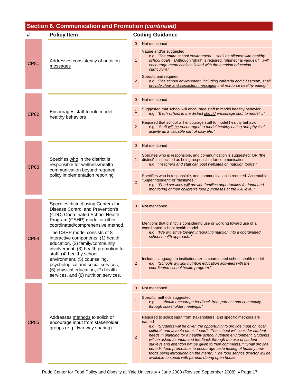| Section 6. Communication and Promotion (continued) |                                                                                                                                                                                                                                                                                                                                                                                                                                           |                |                                                                                                                                                                                                                                                                                                                                                                                                                                                                                                                                                                                                                                                                       |  |
|----------------------------------------------------|-------------------------------------------------------------------------------------------------------------------------------------------------------------------------------------------------------------------------------------------------------------------------------------------------------------------------------------------------------------------------------------------------------------------------------------------|----------------|-----------------------------------------------------------------------------------------------------------------------------------------------------------------------------------------------------------------------------------------------------------------------------------------------------------------------------------------------------------------------------------------------------------------------------------------------------------------------------------------------------------------------------------------------------------------------------------------------------------------------------------------------------------------------|--|
| #                                                  | <b>Policy Item</b>                                                                                                                                                                                                                                                                                                                                                                                                                        |                | <b>Coding Guidance</b>                                                                                                                                                                                                                                                                                                                                                                                                                                                                                                                                                                                                                                                |  |
| <b>CP81</b>                                        | Addresses consistency of nutrition<br>messages                                                                                                                                                                                                                                                                                                                                                                                            | 0              | Not mentioned                                                                                                                                                                                                                                                                                                                                                                                                                                                                                                                                                                                                                                                         |  |
|                                                    |                                                                                                                                                                                                                                                                                                                                                                                                                                           | 1              | Vague and/or suggested<br>e.g., "The entire school environmentshall be aligned with healthy<br>school goals" (Although "shall" is required, "aligned" is vague); " will<br>encourage menu choices linked with the nutrition education<br>curriculum."                                                                                                                                                                                                                                                                                                                                                                                                                 |  |
|                                                    |                                                                                                                                                                                                                                                                                                                                                                                                                                           | $\overline{2}$ | Specific and required<br>e.g., "The school environment, including cafeteria and classroom, shall<br>provide clear and consistent messages that reinforce healthy eating."                                                                                                                                                                                                                                                                                                                                                                                                                                                                                             |  |
|                                                    | Encourages staff to role model<br>healthy behaviors                                                                                                                                                                                                                                                                                                                                                                                       | 0              | Not mentioned                                                                                                                                                                                                                                                                                                                                                                                                                                                                                                                                                                                                                                                         |  |
| <b>CP82</b>                                        |                                                                                                                                                                                                                                                                                                                                                                                                                                           | 1              | Suggested that school will encourage staff to model healthy behavior<br>e.g., "Each school in the district should encourage staff to model"                                                                                                                                                                                                                                                                                                                                                                                                                                                                                                                           |  |
|                                                    |                                                                                                                                                                                                                                                                                                                                                                                                                                           | $\overline{c}$ | Required that school will encourage staff to model healthy behavior<br>e.g., "Staff will be encouraged to model healthy eating and physical<br>activity as a valuable part of daily life."                                                                                                                                                                                                                                                                                                                                                                                                                                                                            |  |
| <b>CP83</b>                                        | Specifies who in the district is<br>responsible for wellness/health<br>communication beyond required<br>policy implementation reporting                                                                                                                                                                                                                                                                                                   | 0              | Not mentioned                                                                                                                                                                                                                                                                                                                                                                                                                                                                                                                                                                                                                                                         |  |
|                                                    |                                                                                                                                                                                                                                                                                                                                                                                                                                           | 1              | Specifies who is responsible, and communication is suggested; OR "the<br>district" is specified as being responsible for communication<br>e.g., "Teachers and staff can post websites on nutrition topics."                                                                                                                                                                                                                                                                                                                                                                                                                                                           |  |
|                                                    |                                                                                                                                                                                                                                                                                                                                                                                                                                           | $\overline{2}$ | Specifies who is responsible, and communication is required. Acceptable:<br>"Superintendent" or "designee."<br>e.g., "Food services will provide families opportunities for input and<br>monitoring of their children's food purchases at the K-8 level."                                                                                                                                                                                                                                                                                                                                                                                                             |  |
|                                                    |                                                                                                                                                                                                                                                                                                                                                                                                                                           |                |                                                                                                                                                                                                                                                                                                                                                                                                                                                                                                                                                                                                                                                                       |  |
|                                                    | Specifies district using Centers for<br>Disease Control and Prevention's                                                                                                                                                                                                                                                                                                                                                                  | 0              | Not mentioned                                                                                                                                                                                                                                                                                                                                                                                                                                                                                                                                                                                                                                                         |  |
|                                                    | (CDC) Coordinated School Health<br>Program (CSHP) model or other<br>coordinated/comprehensive method.<br>The CSHP model consists of 8<br>interactive components: (1) health<br>education, (2) family/community<br>involvement, (3) health promotion for<br>staff, (4) healthy school<br>environment, (5) counseling,<br>psychological and social services,<br>(6) physical education, (7) health<br>services, and (8) nutrition services. |                |                                                                                                                                                                                                                                                                                                                                                                                                                                                                                                                                                                                                                                                                       |  |
| <b>CP84</b>                                        |                                                                                                                                                                                                                                                                                                                                                                                                                                           | $\mathbf{1}$   | Mentions that district is considering use or working toward use of a<br>coordinated school health model<br>e.g., "We will strive toward integrating nutrition into a coordinated<br>school health approach."                                                                                                                                                                                                                                                                                                                                                                                                                                                          |  |
|                                                    |                                                                                                                                                                                                                                                                                                                                                                                                                                           | $\overline{2}$ | Includes language to institutionalize a coordinated school health model<br>e.g., "Schools will link nutrition education activities with the<br>coordinated school health program."                                                                                                                                                                                                                                                                                                                                                                                                                                                                                    |  |
|                                                    |                                                                                                                                                                                                                                                                                                                                                                                                                                           | $\mathbf 0$    | Not mentioned                                                                                                                                                                                                                                                                                                                                                                                                                                                                                                                                                                                                                                                         |  |
| <b>CP85</b>                                        | Addresses methods to solicit or<br>encourage input from stakeholder<br>groups (e.g., two-way sharing)                                                                                                                                                                                                                                                                                                                                     | 1              | Specific methods suggested<br>e.g., "should encourage feedback from parents and community<br>through stakeholder meetings."                                                                                                                                                                                                                                                                                                                                                                                                                                                                                                                                           |  |
|                                                    |                                                                                                                                                                                                                                                                                                                                                                                                                                           | $\overline{2}$ | Required to solicit input from stakeholders, and specific methods are<br>named<br>e.g., "Students will be given the opportunity to provide input on local,<br>cultural, and favorite ethnic foods"; "The school will consider student<br>needs in planning for a healthy school nutrition environment. Students<br>will be asked for input and feedback through the use of student<br>surveys and attention will be given to their comments."; "Shall provide<br>periodic food promotions to encourage taste testing of healthy new<br>foods being introduced on the menu"; "The food service director will be<br>available to speak with parents during open house." |  |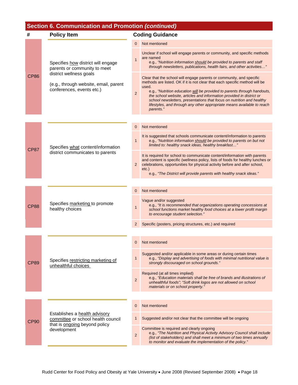## **Section 6. Communication and Promotion** *(continued)*

| #           | <b>Policy Item</b>                                                                                                                                                  | <b>Coding Guidance</b> |                                                                                                                                                                                                                                                                                                                                                                                                                                                                                  |
|-------------|---------------------------------------------------------------------------------------------------------------------------------------------------------------------|------------------------|----------------------------------------------------------------------------------------------------------------------------------------------------------------------------------------------------------------------------------------------------------------------------------------------------------------------------------------------------------------------------------------------------------------------------------------------------------------------------------|
|             | Specifies how district will engage<br>parents or community to meet<br>district wellness goals<br>(e.g., through website, email, parent<br>conferences, events etc.) | $\Omega$               | Not mentioned                                                                                                                                                                                                                                                                                                                                                                                                                                                                    |
|             |                                                                                                                                                                     | $\overline{1}$         | Unclear if school will engage parents or community, and specific methods<br>are named<br>e.g., "Nutrition information should be provided to parents and staff<br>through newsletters, publications, health fairs, and other activities"                                                                                                                                                                                                                                          |
| <b>CP86</b> |                                                                                                                                                                     | $\overline{2}$         | Clear that the school will engage parents or community, and specific<br>methods are listed. OK if it is not clear that each specific method will be<br>used.<br>e.g., "Nutrition education will be provided to parents through handouts,<br>the school website, articles and information provided in district or<br>school newsletters, presentations that focus on nutrition and healthy<br>lifestyles, and through any other appropriate means available to reach<br>parents." |
|             |                                                                                                                                                                     | 0                      | Not mentioned                                                                                                                                                                                                                                                                                                                                                                                                                                                                    |
| CP87        | Specifies what content/information<br>district communicates to parents                                                                                              | $\mathbf{1}$           | It is suggested that schools communicate content/information to parents<br>e.g., "Nutrition information should be provided to parents on but not<br>limited to: healthy snack ideas, healthy breakfast"                                                                                                                                                                                                                                                                          |
|             |                                                                                                                                                                     | $\mathbf{2}$           | It is required for school to communicate content/information with parents<br>and content is specific (wellness policy, lists of foods for healthy lunches or<br>celebrations, opportunities for physical activity before and after school,<br>$etc.$ )<br>e.g., "The District will provide parents with healthy snack ideas."                                                                                                                                                    |
|             |                                                                                                                                                                     |                        |                                                                                                                                                                                                                                                                                                                                                                                                                                                                                  |
|             |                                                                                                                                                                     | 0                      | Not mentioned                                                                                                                                                                                                                                                                                                                                                                                                                                                                    |
| <b>CP88</b> | Specifies marketing to promote<br>healthy choices                                                                                                                   | $\mathbf{1}$           | Vague and/or suggested<br>e.g., "It is recommended that organizations operating concessions at<br>school functions market healthy food choices at a lower profit margin<br>to encourage student selection."                                                                                                                                                                                                                                                                      |
|             |                                                                                                                                                                     | 2                      | Specific (posters, pricing structures, etc.) and required                                                                                                                                                                                                                                                                                                                                                                                                                        |
|             |                                                                                                                                                                     |                        |                                                                                                                                                                                                                                                                                                                                                                                                                                                                                  |
|             | Specifies restricting marketing of<br>unhealthful choices                                                                                                           | $\mathbf 0$            | Not mentioned                                                                                                                                                                                                                                                                                                                                                                                                                                                                    |
| <b>CP89</b> |                                                                                                                                                                     | 1                      | Suggested and/or applicable in some areas or during certain times<br>e.g., "Display and advertising of foods with minimal nutritional value is<br>strongly discouraged on school grounds."                                                                                                                                                                                                                                                                                       |
|             |                                                                                                                                                                     | $\overline{2}$         | Required (at all times implied)<br>e.g., "Education materials shall be free of brands and illustrations of<br>unhealthful foods"; "Soft drink logos are not allowed on school<br>materials or on school property."                                                                                                                                                                                                                                                               |
|             |                                                                                                                                                                     |                        |                                                                                                                                                                                                                                                                                                                                                                                                                                                                                  |
| CP90        | Establishes a health advisory<br>committee or school health council<br>that is ongoing beyond policy<br>development                                                 | $\mathbf 0$            | Not mentioned                                                                                                                                                                                                                                                                                                                                                                                                                                                                    |
|             |                                                                                                                                                                     | 1                      | Suggested and/or not clear that the committee will be ongoing                                                                                                                                                                                                                                                                                                                                                                                                                    |
|             |                                                                                                                                                                     | $\overline{2}$         | Committee is required and clearly ongoing<br>e.g., "The Nutrition and Physical Activity Advisory Council shall include<br>(list of stakeholders) and shall meet a minimum of two times annually<br>to monitor and evaluate the implementation of the policy."                                                                                                                                                                                                                    |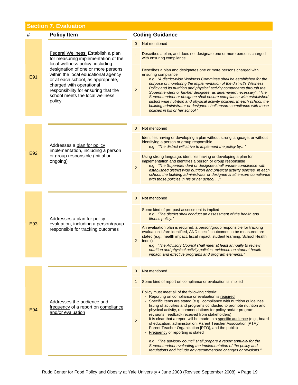## **Section 7. Evaluation**

| #   | <b>Policy Item</b>                                                                                                                                                                                                                                                                                                                                | <b>Coding Guidance</b> |                                                                                                                                                                                                                                                                                                                                                                                                                                                                                                                                                                                                                                                                                                                                                                                                                                    |
|-----|---------------------------------------------------------------------------------------------------------------------------------------------------------------------------------------------------------------------------------------------------------------------------------------------------------------------------------------------------|------------------------|------------------------------------------------------------------------------------------------------------------------------------------------------------------------------------------------------------------------------------------------------------------------------------------------------------------------------------------------------------------------------------------------------------------------------------------------------------------------------------------------------------------------------------------------------------------------------------------------------------------------------------------------------------------------------------------------------------------------------------------------------------------------------------------------------------------------------------|
| E91 | Federal Wellness: Establish a plan<br>for measuring implementation of the<br>local wellness policy, including<br>designation of one or more persons<br>within the local educational agency<br>or at each school, as appropriate,<br>charged with operational<br>responsibility for ensuring that the<br>school meets the local wellness<br>policy | $\Omega$               | Not mentioned                                                                                                                                                                                                                                                                                                                                                                                                                                                                                                                                                                                                                                                                                                                                                                                                                      |
|     |                                                                                                                                                                                                                                                                                                                                                   | $\overline{1}$         | Describes a plan, and does not designate one or more persons charged<br>with ensuring compliance                                                                                                                                                                                                                                                                                                                                                                                                                                                                                                                                                                                                                                                                                                                                   |
|     |                                                                                                                                                                                                                                                                                                                                                   | $\overline{2}$         | Describes a plan and designates one or more persons charged with<br>ensuring compliance<br>e.g., "A district-wide Wellness Committee shall be established for the<br>purpose of monitoring the implementation of the district's Wellness<br>Policy and its nutrition and physical activity components through the<br>Superintendent or his/her designee, as determined necessary"; "The<br>Superintendent or designee shall ensure compliance with established<br>district wide nutrition and physical activity policies. In each school, the<br>building administrator or designee shall ensure compliance with those<br>policies in his or her school."                                                                                                                                                                          |
|     |                                                                                                                                                                                                                                                                                                                                                   |                        |                                                                                                                                                                                                                                                                                                                                                                                                                                                                                                                                                                                                                                                                                                                                                                                                                                    |
|     |                                                                                                                                                                                                                                                                                                                                                   | 0                      | Not mentioned                                                                                                                                                                                                                                                                                                                                                                                                                                                                                                                                                                                                                                                                                                                                                                                                                      |
| E92 | Addresses a plan for policy<br>implementation, including a person<br>or group responsible (initial or<br>ongoing)                                                                                                                                                                                                                                 | 1                      | Identifies having or developing a plan without strong language, or without<br>identifying a person or group responsible<br>e.g., "The district will strive to implement the policy by"                                                                                                                                                                                                                                                                                                                                                                                                                                                                                                                                                                                                                                             |
|     |                                                                                                                                                                                                                                                                                                                                                   | $\overline{2}$         | Using strong language, identifies having or developing a plan for<br>implementation and identifies a person or group responsible<br>e.g., "The Superintendent or designee shall ensure compliance with<br>established district wide nutrition and physical activity policies. In each<br>school, the building administrator or designee shall ensure compliance<br>with those policies in his or her school "                                                                                                                                                                                                                                                                                                                                                                                                                      |
|     |                                                                                                                                                                                                                                                                                                                                                   |                        |                                                                                                                                                                                                                                                                                                                                                                                                                                                                                                                                                                                                                                                                                                                                                                                                                                    |
|     | Addresses a plan for policy<br>evaluation, including a person/group<br>responsible for tracking outcomes                                                                                                                                                                                                                                          | $\overline{0}$         | Not mentioned                                                                                                                                                                                                                                                                                                                                                                                                                                                                                                                                                                                                                                                                                                                                                                                                                      |
|     |                                                                                                                                                                                                                                                                                                                                                   | $\mathbf{1}$           | Some kind of pre-post assessment is implied<br>e.g., "The district shall conduct an assessment of the health and<br>fitness policy."                                                                                                                                                                                                                                                                                                                                                                                                                                                                                                                                                                                                                                                                                               |
| E93 |                                                                                                                                                                                                                                                                                                                                                   | 2 <sup>2</sup>         | An evaluation plan is required, a person/group responsible for tracking<br>evaluation is/are identified, AND specific outcomes to be measured are<br>stated (e.g., health impact, fiscal impact, student learning, School Health<br>Index)<br>e.g., "The Advisory Council shall meet at least annually to review<br>nutrition and physical activity policies, evidence on student health<br><i>impact, and effective programs and program elements.</i> "                                                                                                                                                                                                                                                                                                                                                                          |
|     |                                                                                                                                                                                                                                                                                                                                                   |                        |                                                                                                                                                                                                                                                                                                                                                                                                                                                                                                                                                                                                                                                                                                                                                                                                                                    |
|     | Addresses the audience and<br>frequency of a report on compliance<br>and/or evaluation                                                                                                                                                                                                                                                            | $\mathbf{0}$           | Not mentioned                                                                                                                                                                                                                                                                                                                                                                                                                                                                                                                                                                                                                                                                                                                                                                                                                      |
| E94 |                                                                                                                                                                                                                                                                                                                                                   |                        | Some kind of report on compliance or evaluation is implied                                                                                                                                                                                                                                                                                                                                                                                                                                                                                                                                                                                                                                                                                                                                                                         |
|     |                                                                                                                                                                                                                                                                                                                                                   | $\overline{2}$         | Policy must meet all of the following criteria:<br>Reporting on compliance or evaluation is required<br>Specific items are stated (e.g., compliance with nutrition guidelines,<br>listing of activities and programs conducted to promote nutrition and<br>physical activity, recommendations for policy and/or program<br>revisions, feedback received from stakeholders)<br>- It is clear that a report will be made to a specific audience (e.g., board<br>of education, administration, Parent Teacher Association [PTA]/<br>Parent Teacher Organization [PTO], and the public)<br>Frequency of reporting is stated<br>e.g., "The advisory council shall prepare a report annually for the<br>Superintendent evaluating the implementation of the policy and<br>regulations and include any recommended changes or revisions." |